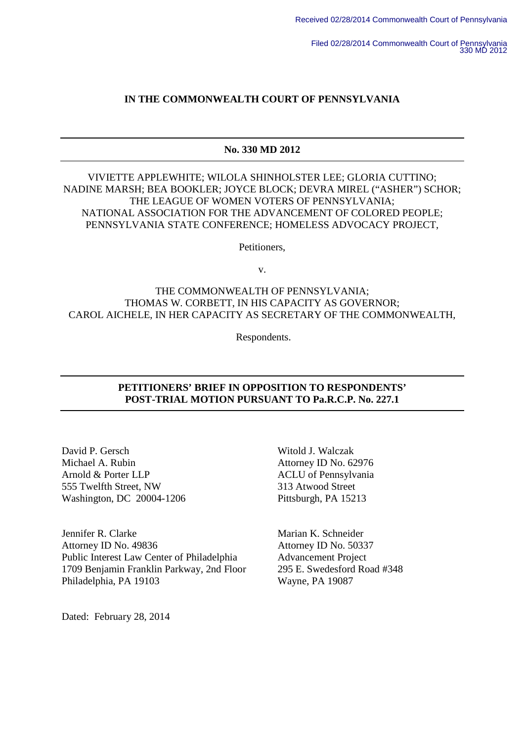# **IN THE COMMONWEALTH COURT OF PENNSYLVANIA**

# **No. 330 MD 2012**

VIVIETTE APPLEWHITE; WILOLA SHINHOLSTER LEE; GLORIA CUTTINO; NADINE MARSH; BEA BOOKLER; JOYCE BLOCK; DEVRA MIREL ("ASHER") SCHOR; THE LEAGUE OF WOMEN VOTERS OF PENNSYLVANIA; NATIONAL ASSOCIATION FOR THE ADVANCEMENT OF COLORED PEOPLE; PENNSYLVANIA STATE CONFERENCE; HOMELESS ADVOCACY PROJECT,

Petitioners,

v.

# THE COMMONWEALTH OF PENNSYLVANIA; THOMAS W. CORBETT, IN HIS CAPACITY AS GOVERNOR; CAROL AICHELE, IN HER CAPACITY AS SECRETARY OF THE COMMONWEALTH,

Respondents.

# **PETITIONERS' BRIEF IN OPPOSITION TO RESPONDENTS' POST-TRIAL MOTION PURSUANT TO Pa.R.C.P. No. 227.1**

David P. Gersch Witold J. Walczak Michael A. Rubin **Attorney ID No. 62976** Arnold & Porter LLP ACLU of Pennsylvania 555 Twelfth Street, NW 313 Atwood Street Washington, DC 20004-1206 Pittsburgh, PA 15213

Jennifer R. Clarke Marian K. Schneider Attorney ID No. 49836 Attorney ID No. 50337 Public Interest Law Center of Philadelphia Advancement Project 1709 Benjamin Franklin Parkway, 2nd Floor 295 E. Swedesford Road #348 Philadelphia, PA 19103 Wayne, PA 19087

Dated: February 28, 2014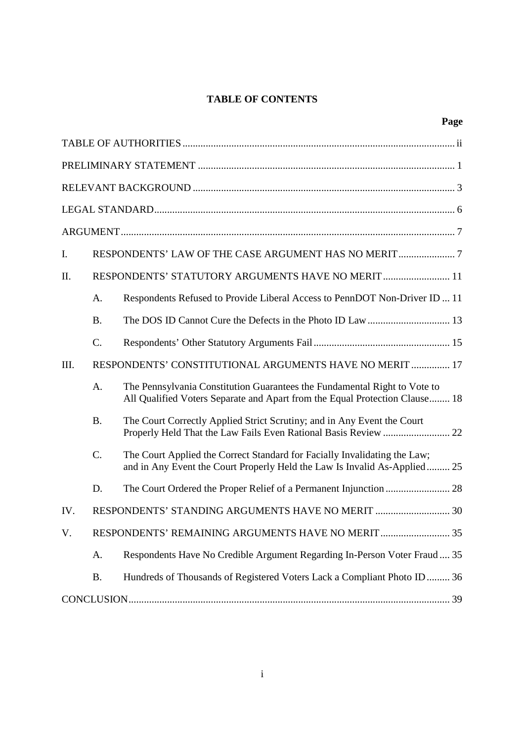# **TABLE OF CONTENTS**

| I.   |                                                         |                                                                                                                                                          |  |  |  |
|------|---------------------------------------------------------|----------------------------------------------------------------------------------------------------------------------------------------------------------|--|--|--|
| Π.   | RESPONDENTS' STATUTORY ARGUMENTS HAVE NO MERIT  11      |                                                                                                                                                          |  |  |  |
|      | A.                                                      | Respondents Refused to Provide Liberal Access to PennDOT Non-Driver ID  11                                                                               |  |  |  |
|      | <b>B.</b>                                               |                                                                                                                                                          |  |  |  |
|      | $C$ .                                                   |                                                                                                                                                          |  |  |  |
| III. | RESPONDENTS' CONSTITUTIONAL ARGUMENTS HAVE NO MERIT  17 |                                                                                                                                                          |  |  |  |
|      | A.                                                      | The Pennsylvania Constitution Guarantees the Fundamental Right to Vote to<br>All Qualified Voters Separate and Apart from the Equal Protection Clause 18 |  |  |  |
|      | <b>B.</b>                                               | The Court Correctly Applied Strict Scrutiny; and in Any Event the Court<br>Properly Held That the Law Fails Even Rational Basis Review  22               |  |  |  |
|      | $C$ .                                                   | The Court Applied the Correct Standard for Facially Invalidating the Law;<br>and in Any Event the Court Properly Held the Law Is Invalid As-Applied 25   |  |  |  |
|      | D.                                                      |                                                                                                                                                          |  |  |  |
| IV.  |                                                         | RESPONDENTS' STANDING ARGUMENTS HAVE NO MERIT  30                                                                                                        |  |  |  |
| V.   |                                                         | RESPONDENTS' REMAINING ARGUMENTS HAVE NO MERIT 35                                                                                                        |  |  |  |
|      | A.                                                      | Respondents Have No Credible Argument Regarding In-Person Voter Fraud 35                                                                                 |  |  |  |
|      | <b>B.</b>                                               | Hundreds of Thousands of Registered Voters Lack a Compliant Photo ID 36                                                                                  |  |  |  |
|      |                                                         |                                                                                                                                                          |  |  |  |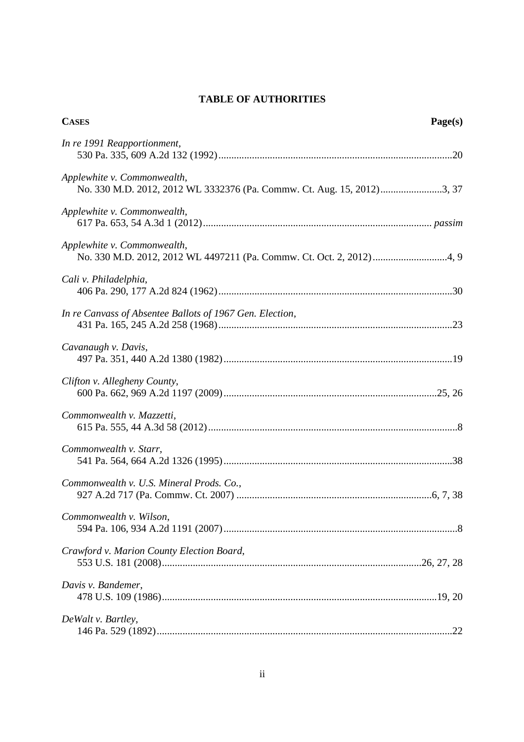# **TABLE OF AUTHORITIES**

| <b>CASES</b><br>Page(s)                                                                               |  |
|-------------------------------------------------------------------------------------------------------|--|
| In re 1991 Reapportionment,                                                                           |  |
| Applewhite v. Commonwealth,<br>No. 330 M.D. 2012, 2012 WL 3332376 (Pa. Commw. Ct. Aug. 15, 2012)3, 37 |  |
| Applewhite v. Commonwealth,                                                                           |  |
| Applewhite v. Commonwealth,                                                                           |  |
| Cali v. Philadelphia,                                                                                 |  |
| In re Canvass of Absentee Ballots of 1967 Gen. Election,                                              |  |
| Cavanaugh v. Davis,                                                                                   |  |
| Clifton v. Allegheny County,                                                                          |  |
| Commonwealth v. Mazzetti,                                                                             |  |
| Commonwealth v. Starr,                                                                                |  |
| Commonwealth v. U.S. Mineral Prods. Co.,                                                              |  |
| Commonwealth v. Wilson,                                                                               |  |
| Crawford v. Marion County Election Board,                                                             |  |
| Davis v. Bandemer,                                                                                    |  |
| DeWalt v. Bartley,                                                                                    |  |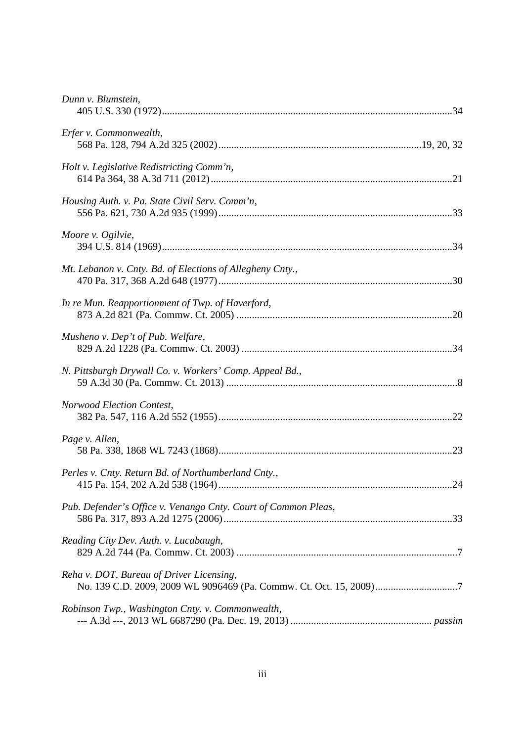| Dunn v. Blumstein,                                             |  |
|----------------------------------------------------------------|--|
| Erfer v. Commonwealth,                                         |  |
| Holt v. Legislative Redistricting Comm'n,                      |  |
| Housing Auth. v. Pa. State Civil Serv. Comm'n,                 |  |
| Moore v. Ogilvie,                                              |  |
| Mt. Lebanon v. Cnty. Bd. of Elections of Allegheny Cnty.,      |  |
| In re Mun. Reapportionment of Twp. of Haverford,               |  |
| Musheno v. Dep't of Pub. Welfare,                              |  |
| N. Pittsburgh Drywall Co. v. Workers' Comp. Appeal Bd.,        |  |
| Norwood Election Contest,                                      |  |
| Page v. Allen,                                                 |  |
| Perles v. Cnty. Return Bd. of Northumberland Cnty.,            |  |
| Pub. Defender's Office v. Venango Cnty. Court of Common Pleas, |  |
| Reading City Dev. Auth. v. Lucabaugh,                          |  |
| Reha v. DOT, Bureau of Driver Licensing,                       |  |
| Robinson Twp., Washington Cnty. v. Commonwealth,               |  |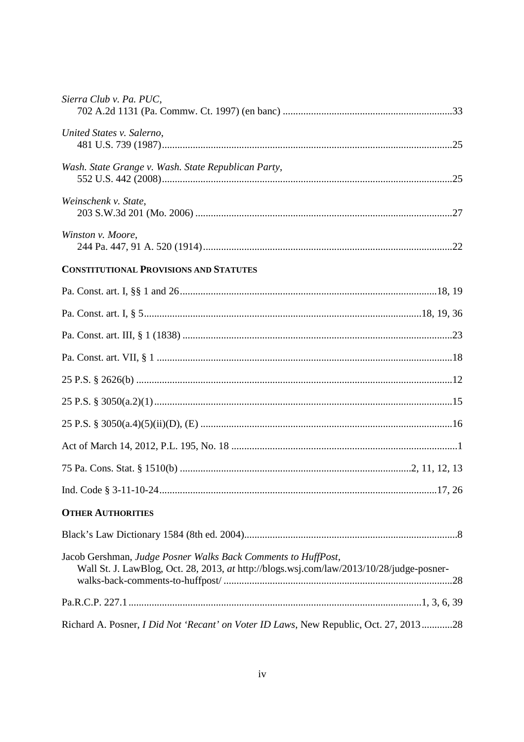| Sierra Club v. Pa. PUC,                                                                                                                                   |  |
|-----------------------------------------------------------------------------------------------------------------------------------------------------------|--|
| United States v. Salerno,                                                                                                                                 |  |
| Wash. State Grange v. Wash. State Republican Party,                                                                                                       |  |
| Weinschenk v. State,                                                                                                                                      |  |
| Winston v. Moore,                                                                                                                                         |  |
| <b>CONSTITUTIONAL PROVISIONS AND STATUTES</b>                                                                                                             |  |
|                                                                                                                                                           |  |
|                                                                                                                                                           |  |
|                                                                                                                                                           |  |
|                                                                                                                                                           |  |
|                                                                                                                                                           |  |
|                                                                                                                                                           |  |
|                                                                                                                                                           |  |
|                                                                                                                                                           |  |
|                                                                                                                                                           |  |
|                                                                                                                                                           |  |
| <b>OTHER AUTHORITIES</b>                                                                                                                                  |  |
|                                                                                                                                                           |  |
| Jacob Gershman, Judge Posner Walks Back Comments to HuffPost,<br>Wall St. J. LawBlog, Oct. 28, 2013, at http://blogs.wsj.com/law/2013/10/28/judge-posner- |  |
|                                                                                                                                                           |  |
| Richard A. Posner, <i>I Did Not 'Recant' on Voter ID Laws</i> , New Republic, Oct. 27, 201328                                                             |  |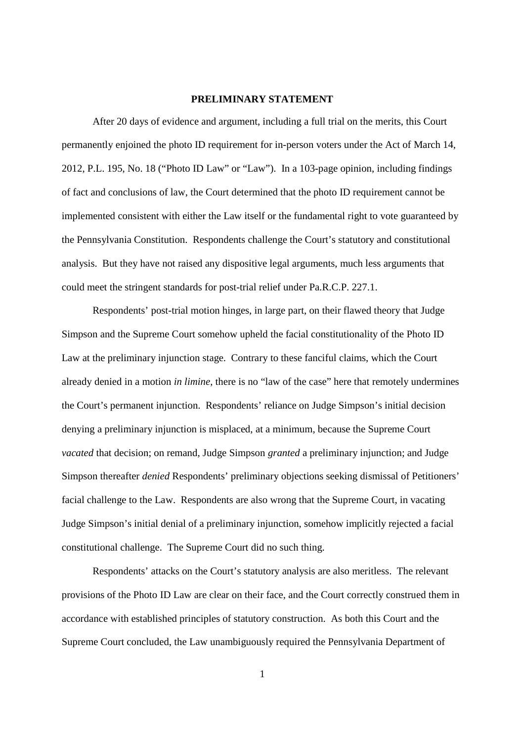#### **PRELIMINARY STATEMENT**

After 20 days of evidence and argument, including a full trial on the merits, this Court permanently enjoined the photo ID requirement for in-person voters under the Act of March 14, 2012, P.L. 195, No. 18 ("Photo ID Law" or "Law"). In a 103-page opinion, including findings of fact and conclusions of law, the Court determined that the photo ID requirement cannot be implemented consistent with either the Law itself or the fundamental right to vote guaranteed by the Pennsylvania Constitution. Respondents challenge the Court's statutory and constitutional analysis. But they have not raised any dispositive legal arguments, much less arguments that could meet the stringent standards for post-trial relief under Pa.R.C.P. 227.1.

Respondents' post-trial motion hinges, in large part, on their flawed theory that Judge Simpson and the Supreme Court somehow upheld the facial constitutionality of the Photo ID Law at the preliminary injunction stage. Contrary to these fanciful claims, which the Court already denied in a motion *in limine*, there is no "law of the case" here that remotely undermines the Court's permanent injunction. Respondents' reliance on Judge Simpson's initial decision denying a preliminary injunction is misplaced, at a minimum, because the Supreme Court *vacated* that decision; on remand, Judge Simpson *granted* a preliminary injunction; and Judge Simpson thereafter *denied* Respondents' preliminary objections seeking dismissal of Petitioners' facial challenge to the Law. Respondents are also wrong that the Supreme Court, in vacating Judge Simpson's initial denial of a preliminary injunction, somehow implicitly rejected a facial constitutional challenge. The Supreme Court did no such thing.

Respondents' attacks on the Court's statutory analysis are also meritless. The relevant provisions of the Photo ID Law are clear on their face, and the Court correctly construed them in accordance with established principles of statutory construction. As both this Court and the Supreme Court concluded, the Law unambiguously required the Pennsylvania Department of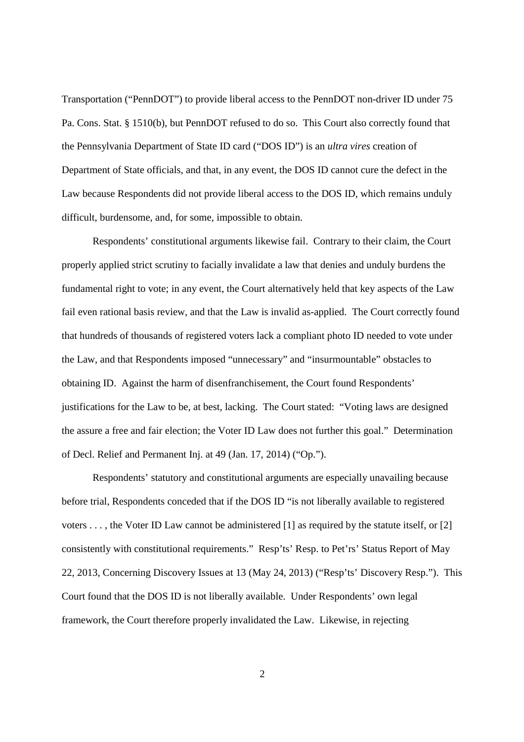Transportation ("PennDOT") to provide liberal access to the PennDOT non-driver ID under 75 Pa. Cons. Stat. § 1510(b), but PennDOT refused to do so. This Court also correctly found that the Pennsylvania Department of State ID card ("DOS ID") is an *ultra vires* creation of Department of State officials, and that, in any event, the DOS ID cannot cure the defect in the Law because Respondents did not provide liberal access to the DOS ID, which remains unduly difficult, burdensome, and, for some, impossible to obtain.

Respondents' constitutional arguments likewise fail. Contrary to their claim, the Court properly applied strict scrutiny to facially invalidate a law that denies and unduly burdens the fundamental right to vote; in any event, the Court alternatively held that key aspects of the Law fail even rational basis review, and that the Law is invalid as-applied. The Court correctly found that hundreds of thousands of registered voters lack a compliant photo ID needed to vote under the Law, and that Respondents imposed "unnecessary" and "insurmountable" obstacles to obtaining ID. Against the harm of disenfranchisement, the Court found Respondents' justifications for the Law to be, at best, lacking. The Court stated: "Voting laws are designed the assure a free and fair election; the Voter ID Law does not further this goal." Determination of Decl. Relief and Permanent Inj. at 49 (Jan. 17, 2014) ("Op.").

Respondents' statutory and constitutional arguments are especially unavailing because before trial, Respondents conceded that if the DOS ID "is not liberally available to registered voters . . . , the Voter ID Law cannot be administered [1] as required by the statute itself, or [2] consistently with constitutional requirements." Resp'ts' Resp. to Pet'rs' Status Report of May 22, 2013, Concerning Discovery Issues at 13 (May 24, 2013) ("Resp'ts' Discovery Resp."). This Court found that the DOS ID is not liberally available. Under Respondents' own legal framework, the Court therefore properly invalidated the Law. Likewise, in rejecting

2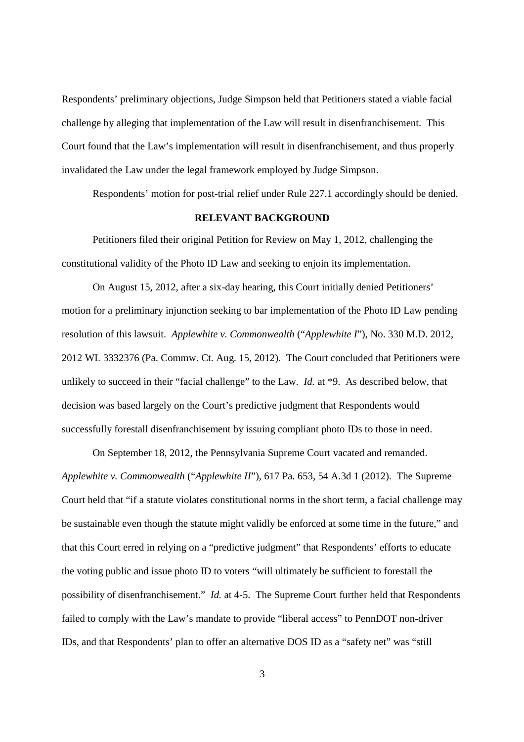Respondents' preliminary objections, Judge Simpson held that Petitioners stated a viable facial challenge by alleging that implementation of the Law will result in disenfranchisement. This Court found that the Law's implementation will result in disenfranchisement, and thus properly invalidated the Law under the legal framework employed by Judge Simpson.

Respondents' motion for post-trial relief under Rule 227.1 accordingly should be denied.

## **RELEVANT BACKGROUND**

Petitioners filed their original Petition for Review on May 1, 2012, challenging the constitutional validity of the Photo ID Law and seeking to enjoin its implementation.

On August 15, 2012, after a six-day hearing, this Court initially denied Petitioners' motion for a preliminary injunction seeking to bar implementation of the Photo ID Law pending resolution of this lawsuit. *Applewhite v. Commonwealth* ("*Applewhite I*"), No. 330 M.D. 2012, 2012 WL 3332376 (Pa. Commw. Ct. Aug. 15, 2012). The Court concluded that Petitioners were unlikely to succeed in their "facial challenge" to the Law. *Id.* at \*9. As described below, that decision was based largely on the Court's predictive judgment that Respondents would successfully forestall disenfranchisement by issuing compliant photo IDs to those in need.

On September 18, 2012, the Pennsylvania Supreme Court vacated and remanded. *Applewhite v. Commonwealth* ("*Applewhite II*"), 617 Pa. 653, 54 A.3d 1 (2012). The Supreme Court held that "if a statute violates constitutional norms in the short term, a facial challenge may be sustainable even though the statute might validly be enforced at some time in the future," and that this Court erred in relying on a "predictive judgment" that Respondents' efforts to educate the voting public and issue photo ID to voters "will ultimately be sufficient to forestall the possibility of disenfranchisement." *Id.* at 4-5. The Supreme Court further held that Respondents failed to comply with the Law's mandate to provide "liberal access" to PennDOT non-driver IDs, and that Respondents' plan to offer an alternative DOS ID as a "safety net" was "still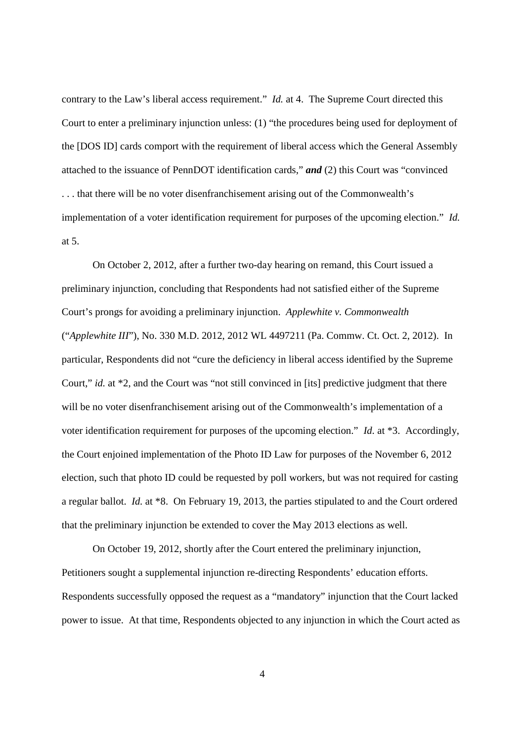contrary to the Law's liberal access requirement." *Id.* at 4. The Supreme Court directed this Court to enter a preliminary injunction unless: (1) "the procedures being used for deployment of the [DOS ID] cards comport with the requirement of liberal access which the General Assembly attached to the issuance of PennDOT identification cards," *and* (2) this Court was "convinced . . . that there will be no voter disenfranchisement arising out of the Commonwealth's implementation of a voter identification requirement for purposes of the upcoming election." *Id.* at 5.

On October 2, 2012, after a further two-day hearing on remand, this Court issued a preliminary injunction, concluding that Respondents had not satisfied either of the Supreme Court's prongs for avoiding a preliminary injunction. *Applewhite v. Commonwealth* ("*Applewhite III*"), No. 330 M.D. 2012, 2012 WL 4497211 (Pa. Commw. Ct. Oct. 2, 2012). In particular, Respondents did not "cure the deficiency in liberal access identified by the Supreme Court," *id.* at \*2, and the Court was "not still convinced in [its] predictive judgment that there will be no voter disenfranchisement arising out of the Commonwealth's implementation of a voter identification requirement for purposes of the upcoming election." *Id.* at \*3. Accordingly, the Court enjoined implementation of the Photo ID Law for purposes of the November 6, 2012 election, such that photo ID could be requested by poll workers, but was not required for casting a regular ballot. *Id.* at \*8. On February 19, 2013, the parties stipulated to and the Court ordered that the preliminary injunction be extended to cover the May 2013 elections as well.

On October 19, 2012, shortly after the Court entered the preliminary injunction, Petitioners sought a supplemental injunction re-directing Respondents' education efforts. Respondents successfully opposed the request as a "mandatory" injunction that the Court lacked power to issue. At that time, Respondents objected to any injunction in which the Court acted as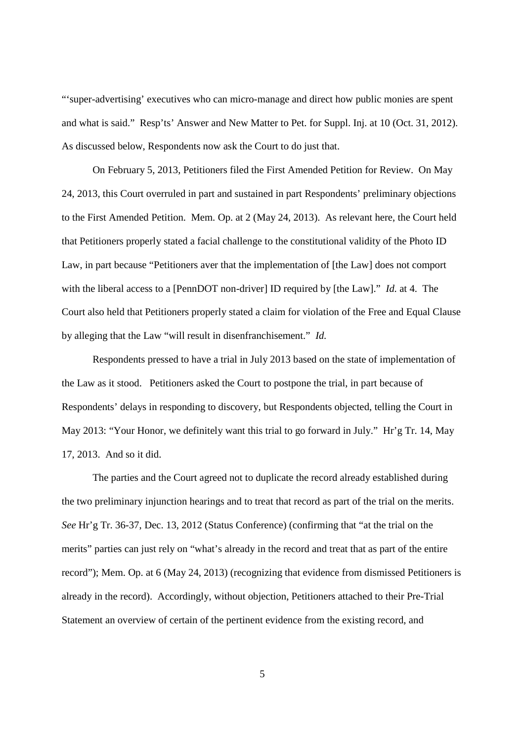"'super-advertising' executives who can micro-manage and direct how public monies are spent and what is said." Resp'ts' Answer and New Matter to Pet. for Suppl. Inj. at 10 (Oct. 31, 2012). As discussed below, Respondents now ask the Court to do just that.

On February 5, 2013, Petitioners filed the First Amended Petition for Review. On May 24, 2013, this Court overruled in part and sustained in part Respondents' preliminary objections to the First Amended Petition. Mem. Op. at 2 (May 24, 2013). As relevant here, the Court held that Petitioners properly stated a facial challenge to the constitutional validity of the Photo ID Law, in part because "Petitioners aver that the implementation of [the Law] does not comport with the liberal access to a [PennDOT non-driver] ID required by [the Law]." *Id.* at 4. The Court also held that Petitioners properly stated a claim for violation of the Free and Equal Clause by alleging that the Law "will result in disenfranchisement." *Id.*

Respondents pressed to have a trial in July 2013 based on the state of implementation of the Law as it stood. Petitioners asked the Court to postpone the trial, in part because of Respondents' delays in responding to discovery, but Respondents objected, telling the Court in May 2013: "Your Honor, we definitely want this trial to go forward in July." Hr'g Tr. 14, May 17, 2013. And so it did.

The parties and the Court agreed not to duplicate the record already established during the two preliminary injunction hearings and to treat that record as part of the trial on the merits. *See* Hr'g Tr. 36-37, Dec. 13, 2012 (Status Conference) (confirming that "at the trial on the merits" parties can just rely on "what's already in the record and treat that as part of the entire record"); Mem. Op. at 6 (May 24, 2013) (recognizing that evidence from dismissed Petitioners is already in the record). Accordingly, without objection, Petitioners attached to their Pre-Trial Statement an overview of certain of the pertinent evidence from the existing record, and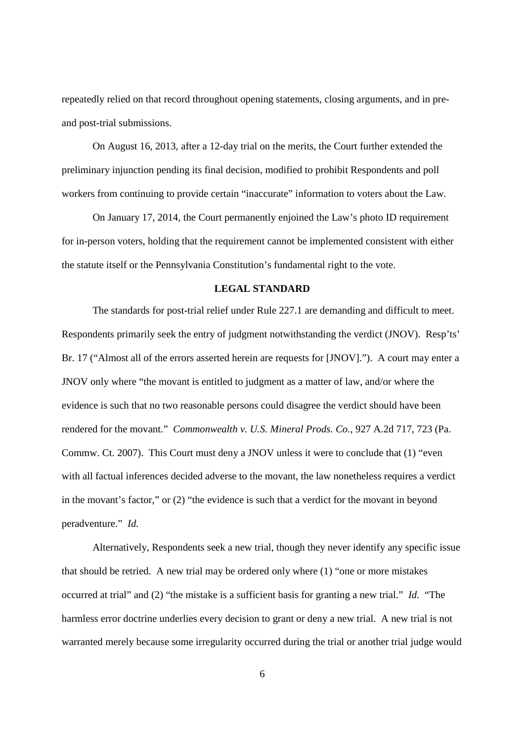repeatedly relied on that record throughout opening statements, closing arguments, and in preand post-trial submissions.

On August 16, 2013, after a 12-day trial on the merits, the Court further extended the preliminary injunction pending its final decision, modified to prohibit Respondents and poll workers from continuing to provide certain "inaccurate" information to voters about the Law.

On January 17, 2014, the Court permanently enjoined the Law's photo ID requirement for in-person voters, holding that the requirement cannot be implemented consistent with either the statute itself or the Pennsylvania Constitution's fundamental right to the vote.

#### **LEGAL STANDARD**

The standards for post-trial relief under Rule 227.1 are demanding and difficult to meet. Respondents primarily seek the entry of judgment notwithstanding the verdict (JNOV). Resp'ts' Br. 17 ("Almost all of the errors asserted herein are requests for [JNOV]."). A court may enter a JNOV only where "the movant is entitled to judgment as a matter of law, and/or where the evidence is such that no two reasonable persons could disagree the verdict should have been rendered for the movant." *Commonwealth v. U.S. Mineral Prods. Co.*, 927 A.2d 717, 723 (Pa. Commw. Ct. 2007). This Court must deny a JNOV unless it were to conclude that (1) "even with all factual inferences decided adverse to the movant, the law nonetheless requires a verdict in the movant's factor," or (2) "the evidence is such that a verdict for the movant in beyond peradventure." *Id.*

Alternatively, Respondents seek a new trial, though they never identify any specific issue that should be retried. A new trial may be ordered only where (1) "one or more mistakes occurred at trial" and (2) "the mistake is a sufficient basis for granting a new trial." *Id.* "The harmless error doctrine underlies every decision to grant or deny a new trial. A new trial is not warranted merely because some irregularity occurred during the trial or another trial judge would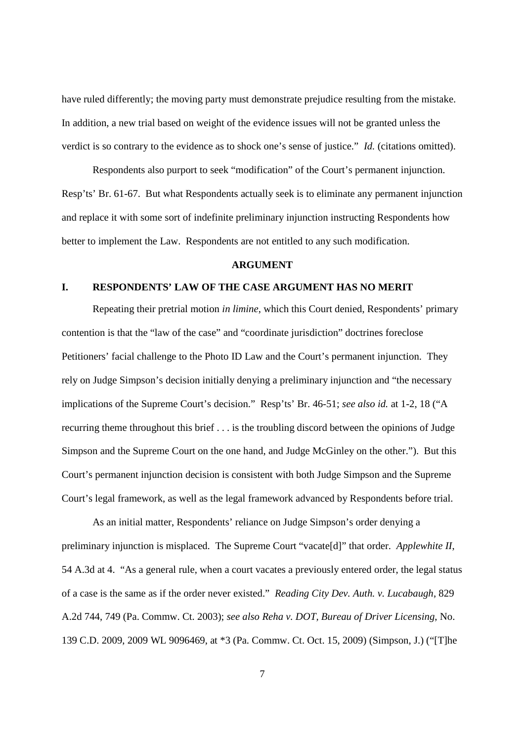have ruled differently; the moving party must demonstrate prejudice resulting from the mistake. In addition, a new trial based on weight of the evidence issues will not be granted unless the verdict is so contrary to the evidence as to shock one's sense of justice." *Id.* (citations omitted).

Respondents also purport to seek "modification" of the Court's permanent injunction. Resp'ts' Br. 61-67. But what Respondents actually seek is to eliminate any permanent injunction and replace it with some sort of indefinite preliminary injunction instructing Respondents how better to implement the Law. Respondents are not entitled to any such modification.

# **ARGUMENT**

# **I. RESPONDENTS' LAW OF THE CASE ARGUMENT HAS NO MERIT**

Repeating their pretrial motion *in limine*, which this Court denied, Respondents' primary contention is that the "law of the case" and "coordinate jurisdiction" doctrines foreclose Petitioners' facial challenge to the Photo ID Law and the Court's permanent injunction. They rely on Judge Simpson's decision initially denying a preliminary injunction and "the necessary implications of the Supreme Court's decision." Resp'ts' Br. 46-51; *see also id.* at 1-2, 18 ("A recurring theme throughout this brief . . . is the troubling discord between the opinions of Judge Simpson and the Supreme Court on the one hand, and Judge McGinley on the other."). But this Court's permanent injunction decision is consistent with both Judge Simpson and the Supreme Court's legal framework, as well as the legal framework advanced by Respondents before trial.

As an initial matter, Respondents' reliance on Judge Simpson's order denying a preliminary injunction is misplaced. The Supreme Court "vacate[d]" that order. *Applewhite II*, 54 A.3d at 4. "As a general rule, when a court vacates a previously entered order, the legal status of a case is the same as if the order never existed." *Reading City Dev. Auth. v. Lucabaugh*, 829 A.2d 744, 749 (Pa. Commw. Ct. 2003); *see also Reha v. DOT, Bureau of Driver Licensing*, No. 139 C.D. 2009, 2009 WL 9096469, at \*3 (Pa. Commw. Ct. Oct. 15, 2009) (Simpson, J.) ("[T]he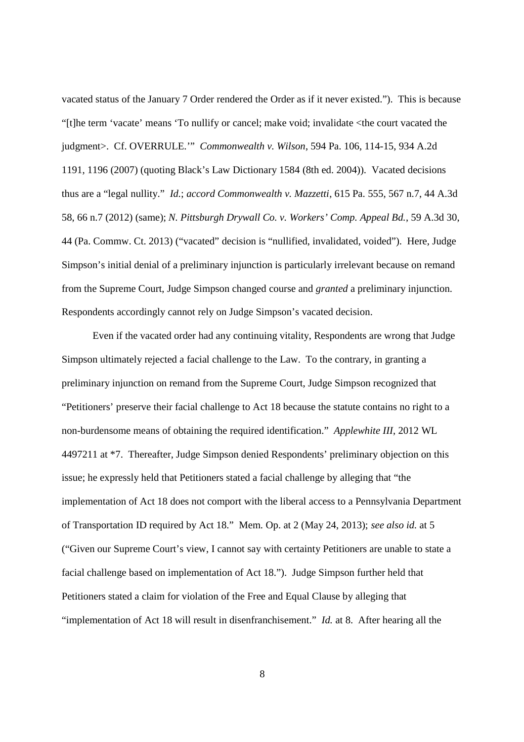vacated status of the January 7 Order rendered the Order as if it never existed."). This is because "[t]he term 'vacate' means 'To nullify or cancel; make void; invalidate <the court vacated the judgment>. Cf. OVERRULE.'" *Commonwealth v. Wilson*, 594 Pa. 106, 114-15, 934 A.2d 1191, 1196 (2007) (quoting Black's Law Dictionary 1584 (8th ed. 2004)). Vacated decisions thus are a "legal nullity." *Id.*; *accord Commonwealth v. Mazzetti*, 615 Pa. 555, 567 n.7, 44 A.3d 58, 66 n.7 (2012) (same); *N. Pittsburgh Drywall Co. v. Workers' Comp. Appeal Bd.*, 59 A.3d 30, 44 (Pa. Commw. Ct. 2013) ("vacated" decision is "nullified, invalidated, voided"). Here, Judge Simpson's initial denial of a preliminary injunction is particularly irrelevant because on remand from the Supreme Court, Judge Simpson changed course and *granted* a preliminary injunction. Respondents accordingly cannot rely on Judge Simpson's vacated decision.

Even if the vacated order had any continuing vitality, Respondents are wrong that Judge Simpson ultimately rejected a facial challenge to the Law. To the contrary, in granting a preliminary injunction on remand from the Supreme Court, Judge Simpson recognized that "Petitioners' preserve their facial challenge to Act 18 because the statute contains no right to a non-burdensome means of obtaining the required identification." *Applewhite III*, 2012 WL 4497211 at \*7. Thereafter, Judge Simpson denied Respondents' preliminary objection on this issue; he expressly held that Petitioners stated a facial challenge by alleging that "the implementation of Act 18 does not comport with the liberal access to a Pennsylvania Department of Transportation ID required by Act 18." Mem. Op. at 2 (May 24, 2013); *see also id.* at 5 ("Given our Supreme Court's view, I cannot say with certainty Petitioners are unable to state a facial challenge based on implementation of Act 18."). Judge Simpson further held that Petitioners stated a claim for violation of the Free and Equal Clause by alleging that "implementation of Act 18 will result in disenfranchisement." *Id.* at 8. After hearing all the

8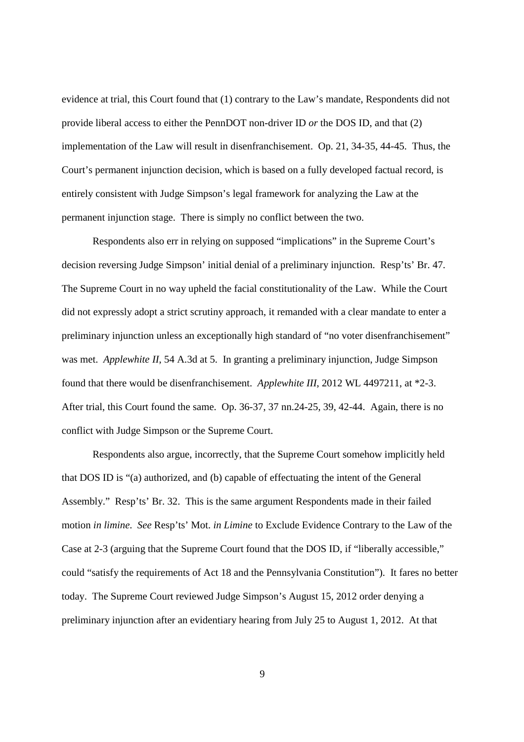evidence at trial, this Court found that (1) contrary to the Law's mandate, Respondents did not provide liberal access to either the PennDOT non-driver ID *or* the DOS ID, and that (2) implementation of the Law will result in disenfranchisement. Op. 21, 34-35, 44-45. Thus, the Court's permanent injunction decision, which is based on a fully developed factual record, is entirely consistent with Judge Simpson's legal framework for analyzing the Law at the permanent injunction stage. There is simply no conflict between the two.

Respondents also err in relying on supposed "implications" in the Supreme Court's decision reversing Judge Simpson' initial denial of a preliminary injunction. Resp'ts' Br. 47. The Supreme Court in no way upheld the facial constitutionality of the Law. While the Court did not expressly adopt a strict scrutiny approach, it remanded with a clear mandate to enter a preliminary injunction unless an exceptionally high standard of "no voter disenfranchisement" was met. *Applewhite II*, 54 A.3d at 5. In granting a preliminary injunction, Judge Simpson found that there would be disenfranchisement. *Applewhite III*, 2012 WL 4497211, at \*2-3. After trial, this Court found the same. Op. 36-37, 37 nn.24-25, 39, 42-44. Again, there is no conflict with Judge Simpson or the Supreme Court.

Respondents also argue, incorrectly, that the Supreme Court somehow implicitly held that DOS ID is "(a) authorized, and (b) capable of effectuating the intent of the General Assembly." Resp'ts' Br. 32. This is the same argument Respondents made in their failed motion *in limine*. *See* Resp'ts' Mot. *in Limine* to Exclude Evidence Contrary to the Law of the Case at 2-3 (arguing that the Supreme Court found that the DOS ID, if "liberally accessible," could "satisfy the requirements of Act 18 and the Pennsylvania Constitution"). It fares no better today. The Supreme Court reviewed Judge Simpson's August 15, 2012 order denying a preliminary injunction after an evidentiary hearing from July 25 to August 1, 2012. At that

9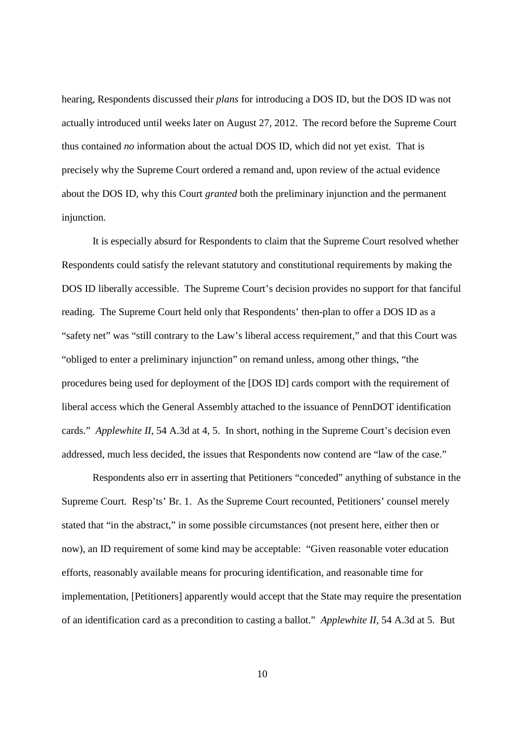hearing, Respondents discussed their *plans* for introducing a DOS ID, but the DOS ID was not actually introduced until weeks later on August 27, 2012. The record before the Supreme Court thus contained *no* information about the actual DOS ID, which did not yet exist. That is precisely why the Supreme Court ordered a remand and, upon review of the actual evidence about the DOS ID, why this Court *granted* both the preliminary injunction and the permanent injunction.

It is especially absurd for Respondents to claim that the Supreme Court resolved whether Respondents could satisfy the relevant statutory and constitutional requirements by making the DOS ID liberally accessible. The Supreme Court's decision provides no support for that fanciful reading. The Supreme Court held only that Respondents' then-plan to offer a DOS ID as a "safety net" was "still contrary to the Law's liberal access requirement," and that this Court was "obliged to enter a preliminary injunction" on remand unless, among other things, "the procedures being used for deployment of the [DOS ID] cards comport with the requirement of liberal access which the General Assembly attached to the issuance of PennDOT identification cards." *Applewhite II*, 54 A.3d at 4, 5. In short, nothing in the Supreme Court's decision even addressed, much less decided, the issues that Respondents now contend are "law of the case."

Respondents also err in asserting that Petitioners "conceded" anything of substance in the Supreme Court. Resp'ts' Br. 1. As the Supreme Court recounted, Petitioners' counsel merely stated that "in the abstract," in some possible circumstances (not present here, either then or now), an ID requirement of some kind may be acceptable: "Given reasonable voter education efforts, reasonably available means for procuring identification, and reasonable time for implementation, [Petitioners] apparently would accept that the State may require the presentation of an identification card as a precondition to casting a ballot." *Applewhite II*, 54 A.3d at 5. But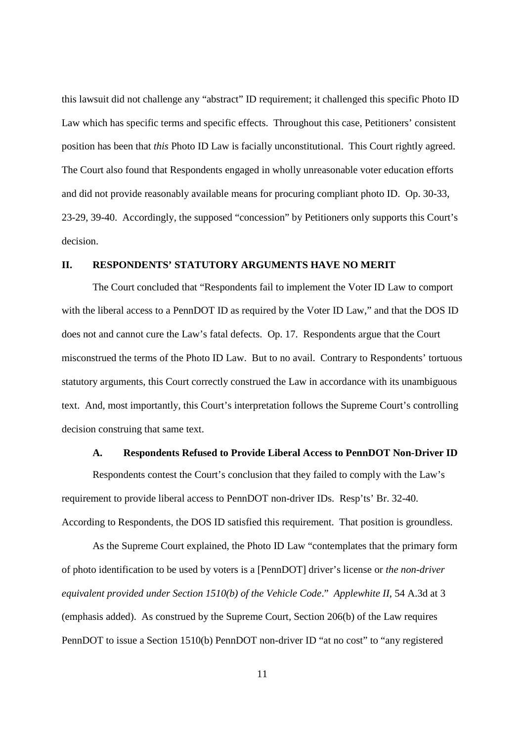this lawsuit did not challenge any "abstract" ID requirement; it challenged this specific Photo ID Law which has specific terms and specific effects. Throughout this case, Petitioners' consistent position has been that *this* Photo ID Law is facially unconstitutional. This Court rightly agreed. The Court also found that Respondents engaged in wholly unreasonable voter education efforts and did not provide reasonably available means for procuring compliant photo ID. Op. 30-33, 23-29, 39-40. Accordingly, the supposed "concession" by Petitioners only supports this Court's decision.

# **II. RESPONDENTS' STATUTORY ARGUMENTS HAVE NO MERIT**

The Court concluded that "Respondents fail to implement the Voter ID Law to comport with the liberal access to a PennDOT ID as required by the Voter ID Law," and that the DOS ID does not and cannot cure the Law's fatal defects. Op. 17. Respondents argue that the Court misconstrued the terms of the Photo ID Law. But to no avail. Contrary to Respondents' tortuous statutory arguments, this Court correctly construed the Law in accordance with its unambiguous text. And, most importantly, this Court's interpretation follows the Supreme Court's controlling decision construing that same text.

#### **A. Respondents Refused to Provide Liberal Access to PennDOT Non-Driver ID**

Respondents contest the Court's conclusion that they failed to comply with the Law's requirement to provide liberal access to PennDOT non-driver IDs. Resp'ts' Br. 32-40. According to Respondents, the DOS ID satisfied this requirement. That position is groundless.

As the Supreme Court explained, the Photo ID Law "contemplates that the primary form of photo identification to be used by voters is a [PennDOT] driver's license or *the non-driver equivalent provided under Section 1510(b) of the Vehicle Code*." *Applewhite II*, 54 A.3d at 3 (emphasis added). As construed by the Supreme Court, Section 206(b) of the Law requires PennDOT to issue a Section 1510(b) PennDOT non-driver ID "at no cost" to "any registered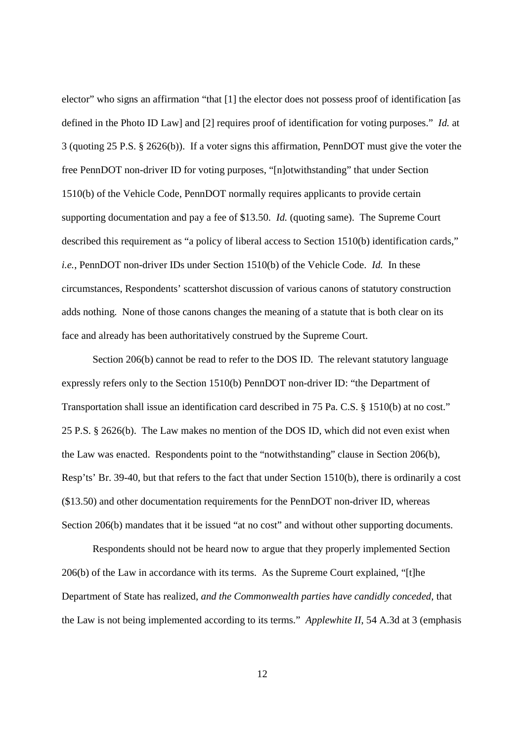elector" who signs an affirmation "that [1] the elector does not possess proof of identification [as defined in the Photo ID Law] and [2] requires proof of identification for voting purposes." *Id.* at 3 (quoting 25 P.S. § 2626(b)). If a voter signs this affirmation, PennDOT must give the voter the free PennDOT non-driver ID for voting purposes, "[n]otwithstanding" that under Section 1510(b) of the Vehicle Code, PennDOT normally requires applicants to provide certain supporting documentation and pay a fee of \$13.50. *Id.* (quoting same). The Supreme Court described this requirement as "a policy of liberal access to Section 1510(b) identification cards," *i.e.*, PennDOT non-driver IDs under Section 1510(b) of the Vehicle Code. *Id.* In these circumstances, Respondents' scattershot discussion of various canons of statutory construction adds nothing. None of those canons changes the meaning of a statute that is both clear on its face and already has been authoritatively construed by the Supreme Court.

Section 206(b) cannot be read to refer to the DOS ID. The relevant statutory language expressly refers only to the Section 1510(b) PennDOT non-driver ID: "the Department of Transportation shall issue an identification card described in 75 Pa. C.S. § 1510(b) at no cost." 25 P.S. § 2626(b). The Law makes no mention of the DOS ID, which did not even exist when the Law was enacted. Respondents point to the "notwithstanding" clause in Section 206(b), Resp'ts' Br. 39-40, but that refers to the fact that under Section 1510(b), there is ordinarily a cost (\$13.50) and other documentation requirements for the PennDOT non-driver ID, whereas Section 206(b) mandates that it be issued "at no cost" and without other supporting documents.

Respondents should not be heard now to argue that they properly implemented Section 206(b) of the Law in accordance with its terms. As the Supreme Court explained, "[t]he Department of State has realized, *and the Commonwealth parties have candidly conceded*, that the Law is not being implemented according to its terms." *Applewhite II*, 54 A.3d at 3 (emphasis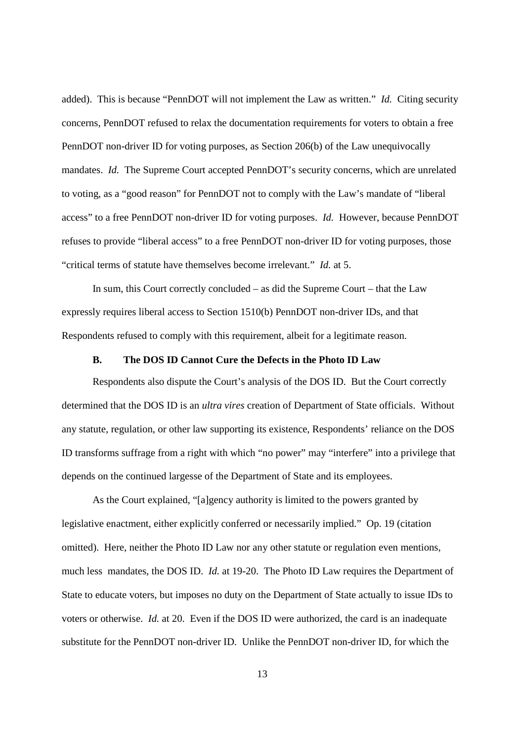added). This is because "PennDOT will not implement the Law as written." *Id.* Citing security concerns, PennDOT refused to relax the documentation requirements for voters to obtain a free PennDOT non-driver ID for voting purposes, as Section 206(b) of the Law unequivocally mandates. *Id.* The Supreme Court accepted PennDOT's security concerns, which are unrelated to voting, as a "good reason" for PennDOT not to comply with the Law's mandate of "liberal access" to a free PennDOT non-driver ID for voting purposes. *Id.* However, because PennDOT refuses to provide "liberal access" to a free PennDOT non-driver ID for voting purposes, those "critical terms of statute have themselves become irrelevant." *Id.* at 5.

In sum, this Court correctly concluded – as did the Supreme Court – that the Law expressly requires liberal access to Section 1510(b) PennDOT non-driver IDs, and that Respondents refused to comply with this requirement, albeit for a legitimate reason.

#### **B. The DOS ID Cannot Cure the Defects in the Photo ID Law**

Respondents also dispute the Court's analysis of the DOS ID. But the Court correctly determined that the DOS ID is an *ultra vires* creation of Department of State officials. Without any statute, regulation, or other law supporting its existence, Respondents' reliance on the DOS ID transforms suffrage from a right with which "no power" may "interfere" into a privilege that depends on the continued largesse of the Department of State and its employees.

As the Court explained, "[a]gency authority is limited to the powers granted by legislative enactment, either explicitly conferred or necessarily implied." Op. 19 (citation omitted). Here, neither the Photo ID Law nor any other statute or regulation even mentions, much less mandates, the DOS ID. *Id.* at 19-20. The Photo ID Law requires the Department of State to educate voters, but imposes no duty on the Department of State actually to issue IDs to voters or otherwise. *Id.* at 20. Even if the DOS ID were authorized, the card is an inadequate substitute for the PennDOT non-driver ID. Unlike the PennDOT non-driver ID, for which the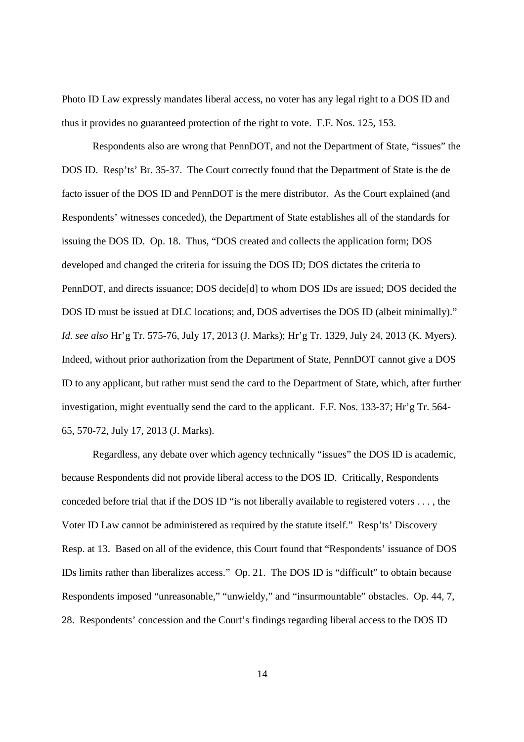Photo ID Law expressly mandates liberal access, no voter has any legal right to a DOS ID and thus it provides no guaranteed protection of the right to vote. F.F. Nos. 125, 153.

Respondents also are wrong that PennDOT, and not the Department of State, "issues" the DOS ID. Resp'ts' Br. 35-37. The Court correctly found that the Department of State is the de facto issuer of the DOS ID and PennDOT is the mere distributor. As the Court explained (and Respondents' witnesses conceded), the Department of State establishes all of the standards for issuing the DOS ID. Op. 18. Thus, "DOS created and collects the application form; DOS developed and changed the criteria for issuing the DOS ID; DOS dictates the criteria to PennDOT, and directs issuance; DOS decide[d] to whom DOS IDs are issued; DOS decided the DOS ID must be issued at DLC locations; and, DOS advertises the DOS ID (albeit minimally)." *Id. see also* Hr'g Tr. 575-76, July 17, 2013 (J. Marks); Hr'g Tr. 1329, July 24, 2013 (K. Myers). Indeed, without prior authorization from the Department of State, PennDOT cannot give a DOS ID to any applicant, but rather must send the card to the Department of State, which, after further investigation, might eventually send the card to the applicant. F.F. Nos. 133-37; Hr'g Tr. 564- 65, 570-72, July 17, 2013 (J. Marks).

Regardless, any debate over which agency technically "issues" the DOS ID is academic, because Respondents did not provide liberal access to the DOS ID. Critically, Respondents conceded before trial that if the DOS ID "is not liberally available to registered voters . . . , the Voter ID Law cannot be administered as required by the statute itself." Resp'ts' Discovery Resp. at 13. Based on all of the evidence, this Court found that "Respondents' issuance of DOS IDs limits rather than liberalizes access." Op. 21. The DOS ID is "difficult" to obtain because Respondents imposed "unreasonable," "unwieldy," and "insurmountable" obstacles. Op. 44, 7, 28. Respondents' concession and the Court's findings regarding liberal access to the DOS ID

14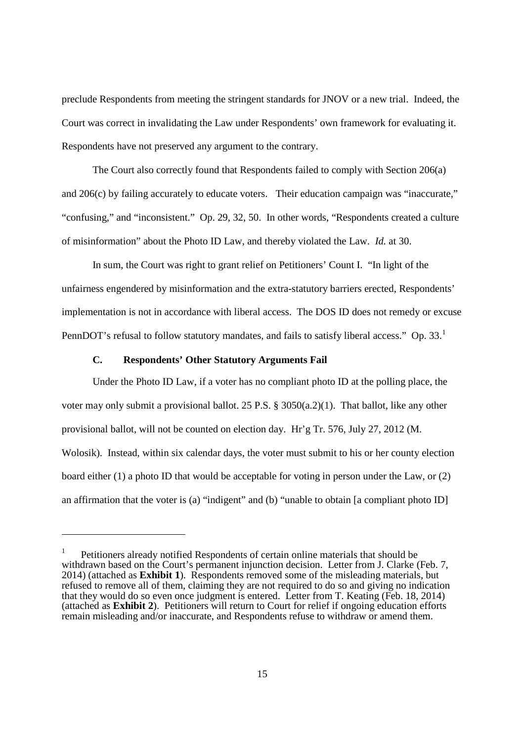preclude Respondents from meeting the stringent standards for JNOV or a new trial. Indeed, the Court was correct in invalidating the Law under Respondents' own framework for evaluating it. Respondents have not preserved any argument to the contrary.

The Court also correctly found that Respondents failed to comply with Section 206(a) and 206(c) by failing accurately to educate voters. Their education campaign was "inaccurate," "confusing," and "inconsistent." Op. 29, 32, 50. In other words, "Respondents created a culture of misinformation" about the Photo ID Law, and thereby violated the Law. *Id.* at 30.

In sum, the Court was right to grant relief on Petitioners' Count I. "In light of the unfairness engendered by misinformation and the extra-statutory barriers erected, Respondents' implementation is not in accordance with liberal access. The DOS ID does not remedy or excuse PennDOT's refusal to follow statutory mandates, and fails to satisfy liberal access." Op. 33.<sup>1</sup>

#### **C. Respondents' Other Statutory Arguments Fail**

Under the Photo ID Law, if a voter has no compliant photo ID at the polling place, the voter may only submit a provisional ballot. 25 P.S. § 3050(a.2)(1). That ballot, like any other provisional ballot, will not be counted on election day. Hr'g Tr. 576, July 27, 2012 (M. Wolosik). Instead, within six calendar days, the voter must submit to his or her county election board either (1) a photo ID that would be acceptable for voting in person under the Law, or (2) an affirmation that the voter is (a) "indigent" and (b) "unable to obtain [a compliant photo ID]

<sup>1</sup> Petitioners already notified Respondents of certain online materials that should be withdrawn based on the Court's permanent injunction decision. Letter from J. Clarke (Feb. 7, 2014) (attached as **Exhibit 1**). Respondents removed some of the misleading materials, but refused to remove all of them, claiming they are not required to do so and giving no indication that they would do so even once judgment is entered. Letter from T. Keating (Feb. 18, 2014) (attached as **Exhibit 2**). Petitioners will return to Court for relief if ongoing education efforts remain misleading and/or inaccurate, and Respondents refuse to withdraw or amend them.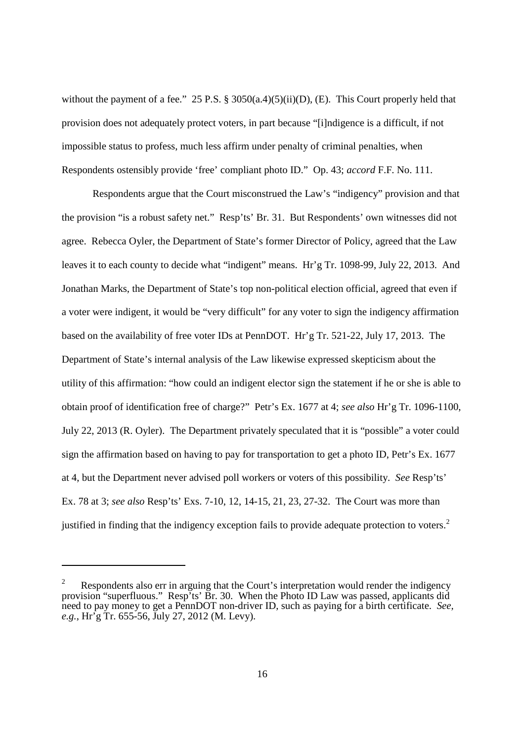without the payment of a fee." 25 P.S. § 3050(a.4)(5)(ii)(D), (E). This Court properly held that provision does not adequately protect voters, in part because "[i]ndigence is a difficult, if not impossible status to profess, much less affirm under penalty of criminal penalties, when Respondents ostensibly provide 'free' compliant photo ID." Op. 43; *accord* F.F. No. 111.

Respondents argue that the Court misconstrued the Law's "indigency" provision and that the provision "is a robust safety net." Resp'ts' Br. 31. But Respondents' own witnesses did not agree. Rebecca Oyler, the Department of State's former Director of Policy, agreed that the Law leaves it to each county to decide what "indigent" means. Hr'g Tr. 1098-99, July 22, 2013. And Jonathan Marks, the Department of State's top non-political election official, agreed that even if a voter were indigent, it would be "very difficult" for any voter to sign the indigency affirmation based on the availability of free voter IDs at PennDOT. Hr'g Tr. 521-22, July 17, 2013. The Department of State's internal analysis of the Law likewise expressed skepticism about the utility of this affirmation: "how could an indigent elector sign the statement if he or she is able to obtain proof of identification free of charge?" Petr's Ex. 1677 at 4; *see also* Hr'g Tr. 1096-1100, July 22, 2013 (R. Oyler). The Department privately speculated that it is "possible" a voter could sign the affirmation based on having to pay for transportation to get a photo ID, Petr's Ex. 1677 at 4, but the Department never advised poll workers or voters of this possibility. *See* Resp'ts' Ex. 78 at 3; *see also* Resp'ts' Exs. 7-10, 12, 14-15, 21, 23, 27-32. The Court was more than justified in finding that the indigency exception fails to provide adequate protection to voters.<sup>2</sup>

Respondents also err in arguing that the Court's interpretation would render the indigency provision "superfluous." Resp'ts' Br. 30. When the Photo ID Law was passed, applicants did need to pay money to get a PennDOT non-driver ID, such as paying for a birth certificate. *See, e.g.*, Hr'g Tr. 655-56, July 27, 2012 (M. Levy).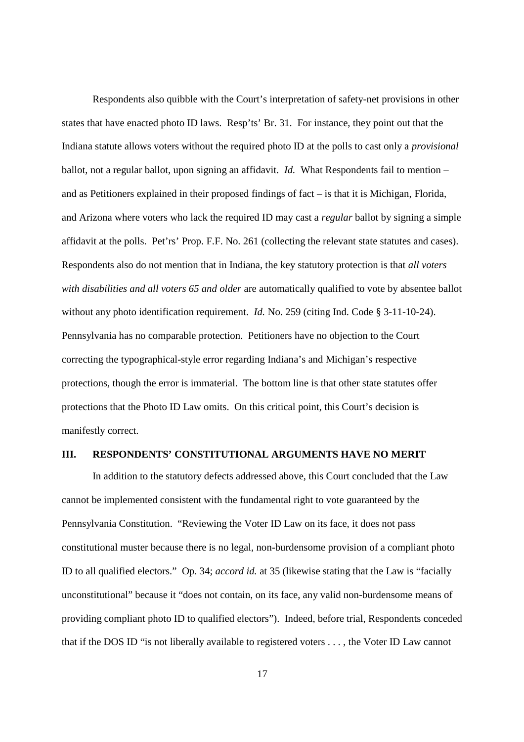Respondents also quibble with the Court's interpretation of safety-net provisions in other states that have enacted photo ID laws. Resp'ts' Br. 31. For instance, they point out that the Indiana statute allows voters without the required photo ID at the polls to cast only a *provisional* ballot, not a regular ballot, upon signing an affidavit. *Id.* What Respondents fail to mention – and as Petitioners explained in their proposed findings of fact – is that it is Michigan, Florida, and Arizona where voters who lack the required ID may cast a *regular* ballot by signing a simple affidavit at the polls. Pet'rs' Prop. F.F. No. 261 (collecting the relevant state statutes and cases). Respondents also do not mention that in Indiana, the key statutory protection is that *all voters with disabilities and all voters 65 and older* are automatically qualified to vote by absentee ballot without any photo identification requirement. *Id.* No. 259 (citing Ind. Code § 3-11-10-24). Pennsylvania has no comparable protection. Petitioners have no objection to the Court correcting the typographical-style error regarding Indiana's and Michigan's respective protections, though the error is immaterial. The bottom line is that other state statutes offer protections that the Photo ID Law omits. On this critical point, this Court's decision is manifestly correct.

### **III. RESPONDENTS' CONSTITUTIONAL ARGUMENTS HAVE NO MERIT**

In addition to the statutory defects addressed above, this Court concluded that the Law cannot be implemented consistent with the fundamental right to vote guaranteed by the Pennsylvania Constitution. "Reviewing the Voter ID Law on its face, it does not pass constitutional muster because there is no legal, non-burdensome provision of a compliant photo ID to all qualified electors." Op. 34; *accord id.* at 35 (likewise stating that the Law is "facially unconstitutional" because it "does not contain, on its face, any valid non-burdensome means of providing compliant photo ID to qualified electors"). Indeed, before trial, Respondents conceded that if the DOS ID "is not liberally available to registered voters . . . , the Voter ID Law cannot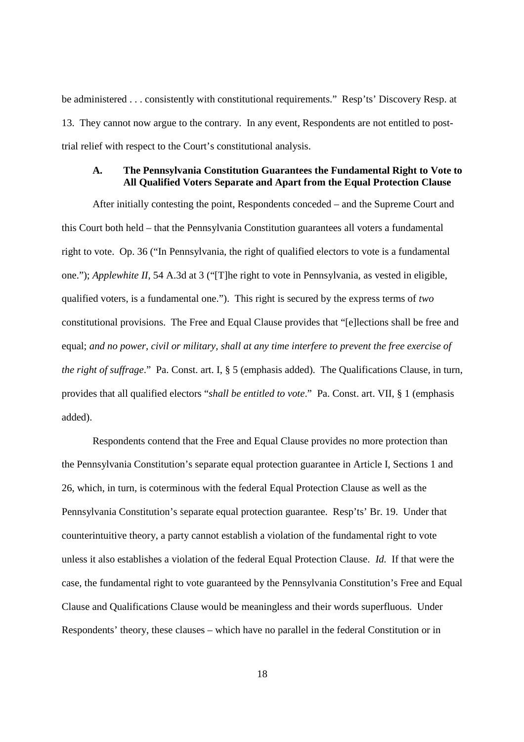be administered . . . consistently with constitutional requirements." Resp'ts' Discovery Resp. at 13. They cannot now argue to the contrary. In any event, Respondents are not entitled to posttrial relief with respect to the Court's constitutional analysis.

### **A. The Pennsylvania Constitution Guarantees the Fundamental Right to Vote to All Qualified Voters Separate and Apart from the Equal Protection Clause**

After initially contesting the point, Respondents conceded – and the Supreme Court and this Court both held – that the Pennsylvania Constitution guarantees all voters a fundamental right to vote. Op. 36 ("In Pennsylvania, the right of qualified electors to vote is a fundamental one."); *Applewhite II*, 54 A.3d at 3 ("[T]he right to vote in Pennsylvania, as vested in eligible, qualified voters, is a fundamental one."). This right is secured by the express terms of *two* constitutional provisions. The Free and Equal Clause provides that "[e]lections shall be free and equal; *and no power, civil or military, shall at any time interfere to prevent the free exercise of the right of suffrage*." Pa. Const. art. I, § 5 (emphasis added). The Qualifications Clause, in turn, provides that all qualified electors "*shall be entitled to vote*." Pa. Const. art. VII, § 1 (emphasis added).

Respondents contend that the Free and Equal Clause provides no more protection than the Pennsylvania Constitution's separate equal protection guarantee in Article I, Sections 1 and 26, which, in turn, is coterminous with the federal Equal Protection Clause as well as the Pennsylvania Constitution's separate equal protection guarantee. Resp'ts' Br. 19. Under that counterintuitive theory, a party cannot establish a violation of the fundamental right to vote unless it also establishes a violation of the federal Equal Protection Clause. *Id.* If that were the case, the fundamental right to vote guaranteed by the Pennsylvania Constitution's Free and Equal Clause and Qualifications Clause would be meaningless and their words superfluous. Under Respondents' theory, these clauses – which have no parallel in the federal Constitution or in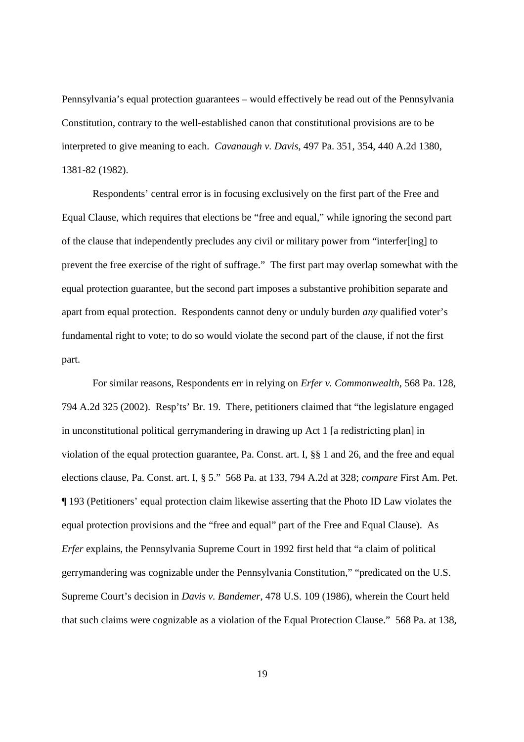Pennsylvania's equal protection guarantees – would effectively be read out of the Pennsylvania Constitution, contrary to the well-established canon that constitutional provisions are to be interpreted to give meaning to each. *Cavanaugh v. Davis*, 497 Pa. 351, 354, 440 A.2d 1380, 1381-82 (1982).

Respondents' central error is in focusing exclusively on the first part of the Free and Equal Clause, which requires that elections be "free and equal," while ignoring the second part of the clause that independently precludes any civil or military power from "interfer[ing] to prevent the free exercise of the right of suffrage." The first part may overlap somewhat with the equal protection guarantee, but the second part imposes a substantive prohibition separate and apart from equal protection. Respondents cannot deny or unduly burden *any* qualified voter's fundamental right to vote; to do so would violate the second part of the clause, if not the first part.

For similar reasons, Respondents err in relying on *Erfer v. Commonwealth*, 568 Pa. 128, 794 A.2d 325 (2002). Resp'ts' Br. 19. There, petitioners claimed that "the legislature engaged in unconstitutional political gerrymandering in drawing up Act 1 [a redistricting plan] in violation of the equal protection guarantee, Pa. Const. art. I, §§ 1 and 26, and the free and equal elections clause, Pa. Const. art. I, § 5." 568 Pa. at 133, 794 A.2d at 328; *compare* First Am. Pet. ¶ 193 (Petitioners' equal protection claim likewise asserting that the Photo ID Law violates the equal protection provisions and the "free and equal" part of the Free and Equal Clause). As *Erfer* explains, the Pennsylvania Supreme Court in 1992 first held that "a claim of political gerrymandering was cognizable under the Pennsylvania Constitution," "predicated on the U.S. Supreme Court's decision in *Davis v. Bandemer*, 478 U.S. 109 (1986), wherein the Court held that such claims were cognizable as a violation of the Equal Protection Clause." 568 Pa. at 138,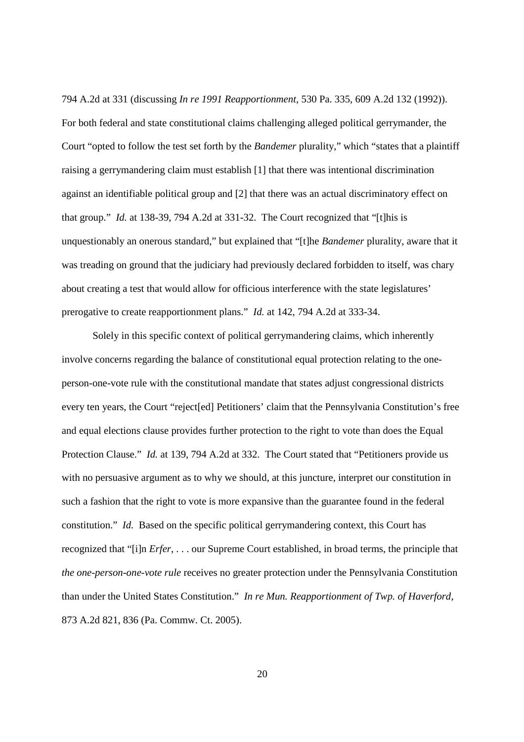794 A.2d at 331 (discussing *In re 1991 Reapportionment,* 530 Pa. 335, 609 A.2d 132 (1992)). For both federal and state constitutional claims challenging alleged political gerrymander, the Court "opted to follow the test set forth by the *Bandemer* plurality," which "states that a plaintiff raising a gerrymandering claim must establish [1] that there was intentional discrimination against an identifiable political group and [2] that there was an actual discriminatory effect on that group." *Id.* at 138-39, 794 A.2d at 331-32. The Court recognized that "[t]his is unquestionably an onerous standard," but explained that "[t]he *Bandemer* plurality, aware that it was treading on ground that the judiciary had previously declared forbidden to itself, was chary about creating a test that would allow for officious interference with the state legislatures' prerogative to create reapportionment plans." *Id.* at 142, 794 A.2d at 333-34.

Solely in this specific context of political gerrymandering claims, which inherently involve concerns regarding the balance of constitutional equal protection relating to the oneperson-one-vote rule with the constitutional mandate that states adjust congressional districts every ten years, the Court "reject[ed] Petitioners' claim that the Pennsylvania Constitution's free and equal elections clause provides further protection to the right to vote than does the Equal Protection Clause." *Id.* at 139, 794 A.2d at 332. The Court stated that "Petitioners provide us with no persuasive argument as to why we should, at this juncture, interpret our constitution in such a fashion that the right to vote is more expansive than the guarantee found in the federal constitution." *Id.* Based on the specific political gerrymandering context, this Court has recognized that "[i]n *Erfer*, . . . our Supreme Court established, in broad terms, the principle that *the one-person-one-vote rule* receives no greater protection under the Pennsylvania Constitution than under the United States Constitution." *In re Mun. Reapportionment of Twp. of Haverford*, 873 A.2d 821, 836 (Pa. Commw. Ct. 2005).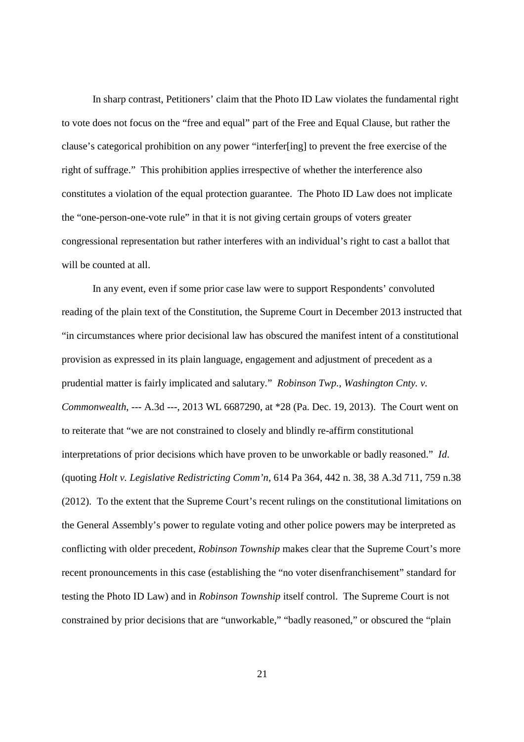In sharp contrast, Petitioners' claim that the Photo ID Law violates the fundamental right to vote does not focus on the "free and equal" part of the Free and Equal Clause, but rather the clause's categorical prohibition on any power "interfer[ing] to prevent the free exercise of the right of suffrage." This prohibition applies irrespective of whether the interference also constitutes a violation of the equal protection guarantee. The Photo ID Law does not implicate the "one-person-one-vote rule" in that it is not giving certain groups of voters greater congressional representation but rather interferes with an individual's right to cast a ballot that will be counted at all.

In any event, even if some prior case law were to support Respondents' convoluted reading of the plain text of the Constitution, the Supreme Court in December 2013 instructed that "in circumstances where prior decisional law has obscured the manifest intent of a constitutional provision as expressed in its plain language, engagement and adjustment of precedent as a prudential matter is fairly implicated and salutary." *Robinson Twp., Washington Cnty. v. Commonwealth*, --- A.3d ---, 2013 WL 6687290, at \*28 (Pa. Dec. 19, 2013). The Court went on to reiterate that "we are not constrained to closely and blindly re-affirm constitutional interpretations of prior decisions which have proven to be unworkable or badly reasoned." *Id*. (quoting *Holt v. Legislative Redistricting Comm'n*, 614 Pa 364, 442 n. 38, 38 A.3d 711, 759 n.38 (2012). To the extent that the Supreme Court's recent rulings on the constitutional limitations on the General Assembly's power to regulate voting and other police powers may be interpreted as conflicting with older precedent, *Robinson Township* makes clear that the Supreme Court's more recent pronouncements in this case (establishing the "no voter disenfranchisement" standard for testing the Photo ID Law) and in *Robinson Township* itself control. The Supreme Court is not constrained by prior decisions that are "unworkable," "badly reasoned," or obscured the "plain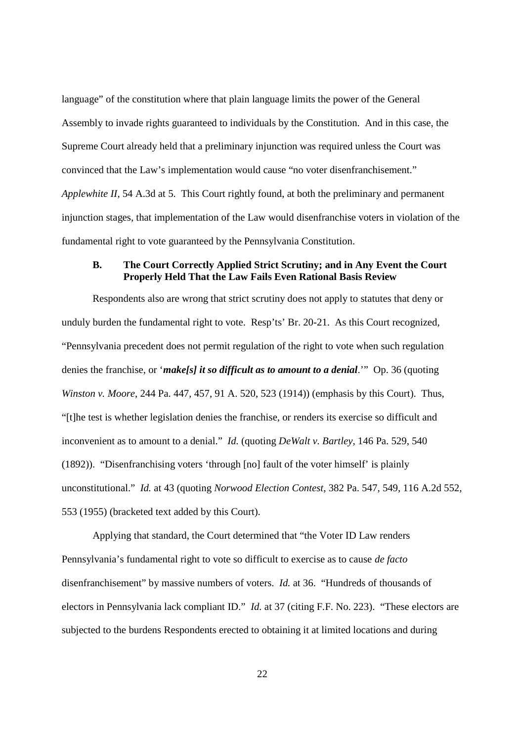language" of the constitution where that plain language limits the power of the General Assembly to invade rights guaranteed to individuals by the Constitution. And in this case, the Supreme Court already held that a preliminary injunction was required unless the Court was convinced that the Law's implementation would cause "no voter disenfranchisement." *Applewhite II*, 54 A.3d at 5. This Court rightly found, at both the preliminary and permanent injunction stages, that implementation of the Law would disenfranchise voters in violation of the fundamental right to vote guaranteed by the Pennsylvania Constitution.

### **B. The Court Correctly Applied Strict Scrutiny; and in Any Event the Court Properly Held That the Law Fails Even Rational Basis Review**

Respondents also are wrong that strict scrutiny does not apply to statutes that deny or unduly burden the fundamental right to vote. Resp'ts' Br. 20-21. As this Court recognized, "Pennsylvania precedent does not permit regulation of the right to vote when such regulation denies the franchise, or '*make[s] it so difficult as to amount to a denial*.'" Op. 36 (quoting *Winston v. Moore*, 244 Pa. 447, 457, 91 A. 520, 523 (1914)) (emphasis by this Court). Thus, "[t]he test is whether legislation denies the franchise, or renders its exercise so difficult and inconvenient as to amount to a denial." *Id.* (quoting *DeWalt v. Bartley*, 146 Pa. 529, 540 (1892)). "Disenfranchising voters 'through [no] fault of the voter himself' is plainly unconstitutional." *Id.* at 43 (quoting *Norwood Election Contest*, 382 Pa. 547, 549, 116 A.2d 552, 553 (1955) (bracketed text added by this Court).

Applying that standard, the Court determined that "the Voter ID Law renders Pennsylvania's fundamental right to vote so difficult to exercise as to cause *de facto* disenfranchisement" by massive numbers of voters. *Id.* at 36. "Hundreds of thousands of electors in Pennsylvania lack compliant ID." *Id.* at 37 (citing F.F. No. 223). "These electors are subjected to the burdens Respondents erected to obtaining it at limited locations and during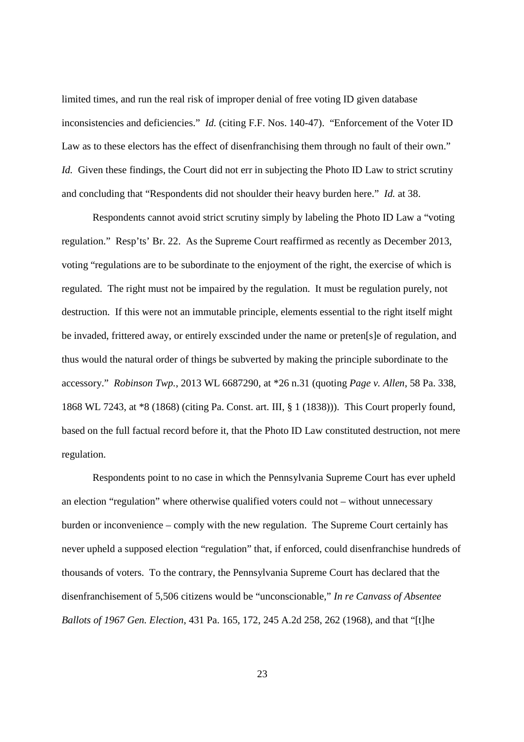limited times, and run the real risk of improper denial of free voting ID given database inconsistencies and deficiencies." *Id.* (citing F.F. Nos. 140-47). "Enforcement of the Voter ID Law as to these electors has the effect of disenfranchising them through no fault of their own." *Id.* Given these findings, the Court did not err in subjecting the Photo ID Law to strict scrutiny and concluding that "Respondents did not shoulder their heavy burden here." *Id.* at 38.

Respondents cannot avoid strict scrutiny simply by labeling the Photo ID Law a "voting regulation." Resp'ts' Br. 22. As the Supreme Court reaffirmed as recently as December 2013, voting "regulations are to be subordinate to the enjoyment of the right, the exercise of which is regulated. The right must not be impaired by the regulation. It must be regulation purely, not destruction. If this were not an immutable principle, elements essential to the right itself might be invaded, frittered away, or entirely exscinded under the name or preten[s]e of regulation, and thus would the natural order of things be subverted by making the principle subordinate to the accessory." *Robinson Twp.*, 2013 WL 6687290, at \*26 n.31 (quoting *Page v. Allen*, 58 Pa. 338, 1868 WL 7243, at \*8 (1868) (citing Pa. Const. art. III, § 1 (1838))). This Court properly found, based on the full factual record before it, that the Photo ID Law constituted destruction, not mere regulation.

Respondents point to no case in which the Pennsylvania Supreme Court has ever upheld an election "regulation" where otherwise qualified voters could not – without unnecessary burden or inconvenience – comply with the new regulation. The Supreme Court certainly has never upheld a supposed election "regulation" that, if enforced, could disenfranchise hundreds of thousands of voters. To the contrary, the Pennsylvania Supreme Court has declared that the disenfranchisement of 5,506 citizens would be "unconscionable," *In re Canvass of Absentee Ballots of 1967 Gen. Election*, 431 Pa. 165, 172, 245 A.2d 258, 262 (1968), and that "[t]he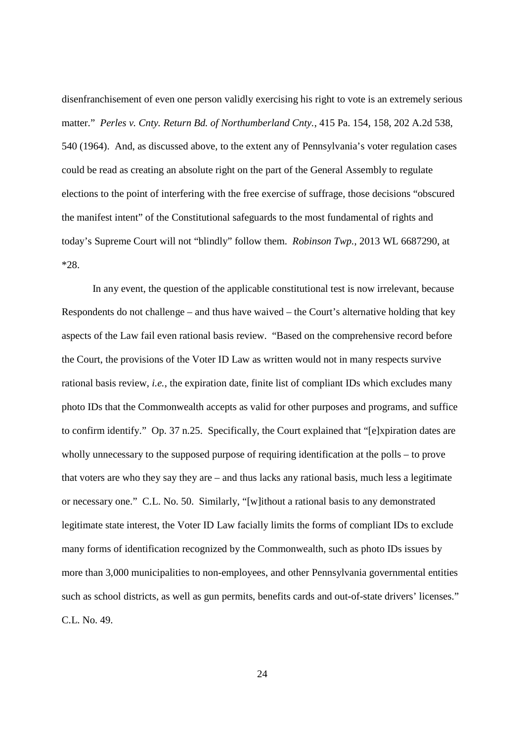disenfranchisement of even one person validly exercising his right to vote is an extremely serious matter." *Perles v. Cnty. Return Bd. of Northumberland Cnty.*, 415 Pa. 154, 158, 202 A.2d 538, 540 (1964). And, as discussed above, to the extent any of Pennsylvania's voter regulation cases could be read as creating an absolute right on the part of the General Assembly to regulate elections to the point of interfering with the free exercise of suffrage, those decisions "obscured the manifest intent" of the Constitutional safeguards to the most fundamental of rights and today's Supreme Court will not "blindly" follow them. *Robinson Twp.*, 2013 WL 6687290, at \*28.

In any event, the question of the applicable constitutional test is now irrelevant, because Respondents do not challenge – and thus have waived – the Court's alternative holding that key aspects of the Law fail even rational basis review. "Based on the comprehensive record before the Court, the provisions of the Voter ID Law as written would not in many respects survive rational basis review, *i.e.*, the expiration date, finite list of compliant IDs which excludes many photo IDs that the Commonwealth accepts as valid for other purposes and programs, and suffice to confirm identify." Op. 37 n.25. Specifically, the Court explained that "[e]xpiration dates are wholly unnecessary to the supposed purpose of requiring identification at the polls – to prove that voters are who they say they are – and thus lacks any rational basis, much less a legitimate or necessary one." C.L. No. 50. Similarly, "[w]ithout a rational basis to any demonstrated legitimate state interest, the Voter ID Law facially limits the forms of compliant IDs to exclude many forms of identification recognized by the Commonwealth, such as photo IDs issues by more than 3,000 municipalities to non-employees, and other Pennsylvania governmental entities such as school districts, as well as gun permits, benefits cards and out-of-state drivers' licenses." C.L. No. 49.

 $24$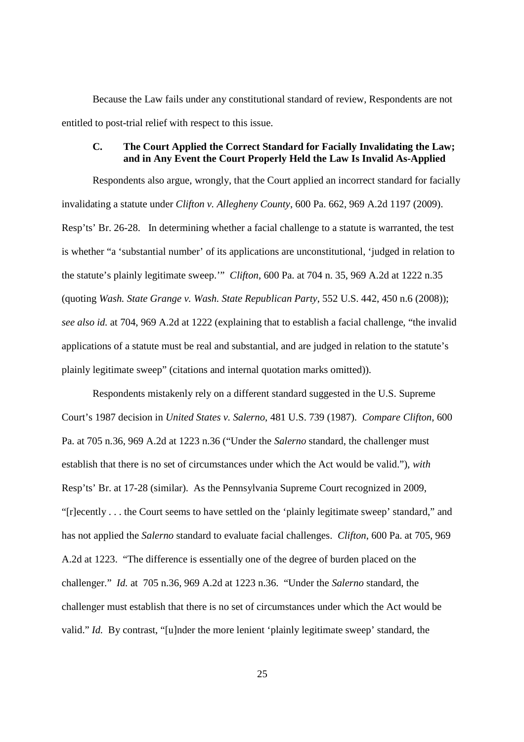Because the Law fails under any constitutional standard of review, Respondents are not entitled to post-trial relief with respect to this issue.

### **C. The Court Applied the Correct Standard for Facially Invalidating the Law; and in Any Event the Court Properly Held the Law Is Invalid As-Applied**

Respondents also argue, wrongly, that the Court applied an incorrect standard for facially invalidating a statute under *Clifton v. Allegheny County*, 600 Pa. 662, 969 A.2d 1197 (2009). Resp'ts' Br. 26-28. In determining whether a facial challenge to a statute is warranted, the test is whether "a 'substantial number' of its applications are unconstitutional, 'judged in relation to the statute's plainly legitimate sweep.'" *Clifton*, 600 Pa. at 704 n. 35, 969 A.2d at 1222 n.35 (quoting *Wash. State Grange v. Wash. State Republican Party*, 552 U.S. 442, 450 n.6 (2008)); *see also id.* at 704, 969 A.2d at 1222 (explaining that to establish a facial challenge, "the invalid applications of a statute must be real and substantial, and are judged in relation to the statute's plainly legitimate sweep" (citations and internal quotation marks omitted)).

Respondents mistakenly rely on a different standard suggested in the U.S. Supreme Court's 1987 decision in *United States v. Salerno*, 481 U.S. 739 (1987). *Compare Clifton*, 600 Pa. at 705 n.36, 969 A.2d at 1223 n.36 ("Under the *Salerno* standard, the challenger must establish that there is no set of circumstances under which the Act would be valid."), *with* Resp'ts' Br. at 17-28 (similar). As the Pennsylvania Supreme Court recognized in 2009, "[r]ecently . . . the Court seems to have settled on the 'plainly legitimate sweep' standard," and has not applied the *Salerno* standard to evaluate facial challenges. *Clifton*, 600 Pa. at 705, 969 A.2d at 1223. "The difference is essentially one of the degree of burden placed on the challenger." *Id.* at 705 n.36, 969 A.2d at 1223 n.36. "Under the *Salerno* standard, the challenger must establish that there is no set of circumstances under which the Act would be valid." *Id.* By contrast, "[u]nder the more lenient 'plainly legitimate sweep' standard, the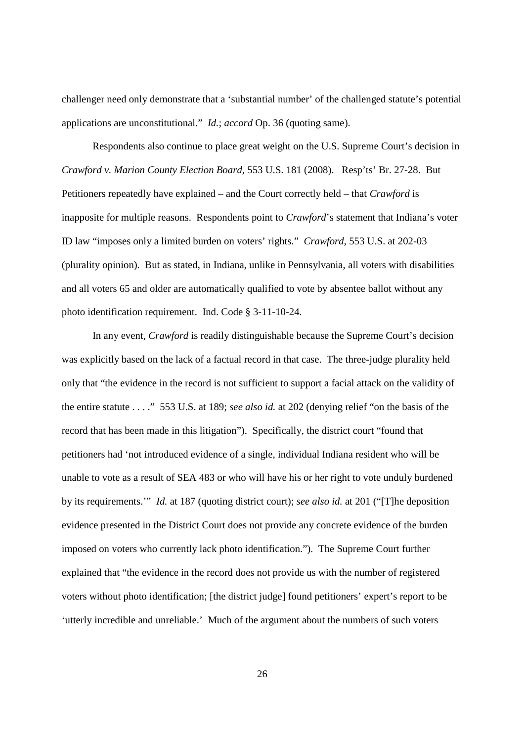challenger need only demonstrate that a 'substantial number' of the challenged statute's potential applications are unconstitutional." *Id.*; *accord* Op. 36 (quoting same).

Respondents also continue to place great weight on the U.S. Supreme Court's decision in *Crawford v. Marion County Election Board*, 553 U.S. 181 (2008). Resp'ts' Br. 27-28. But Petitioners repeatedly have explained – and the Court correctly held – that *Crawford* is inapposite for multiple reasons. Respondents point to *Crawford*'s statement that Indiana's voter ID law "imposes only a limited burden on voters' rights." *Crawford*, 553 U.S. at 202-03 (plurality opinion). But as stated, in Indiana, unlike in Pennsylvania, all voters with disabilities and all voters 65 and older are automatically qualified to vote by absentee ballot without any photo identification requirement. Ind. Code § 3-11-10-24.

In any event, *Crawford* is readily distinguishable because the Supreme Court's decision was explicitly based on the lack of a factual record in that case. The three-judge plurality held only that "the evidence in the record is not sufficient to support a facial attack on the validity of the entire statute . . . ." 553 U.S. at 189; *see also id.* at 202 (denying relief "on the basis of the record that has been made in this litigation"). Specifically, the district court "found that petitioners had 'not introduced evidence of a single, individual Indiana resident who will be unable to vote as a result of SEA 483 or who will have his or her right to vote unduly burdened by its requirements.'" *Id.* at 187 (quoting district court); *see also id.* at 201 ("[T]he deposition evidence presented in the District Court does not provide any concrete evidence of the burden imposed on voters who currently lack photo identification."). The Supreme Court further explained that "the evidence in the record does not provide us with the number of registered voters without photo identification; [the district judge] found petitioners' expert's report to be 'utterly incredible and unreliable.' Much of the argument about the numbers of such voters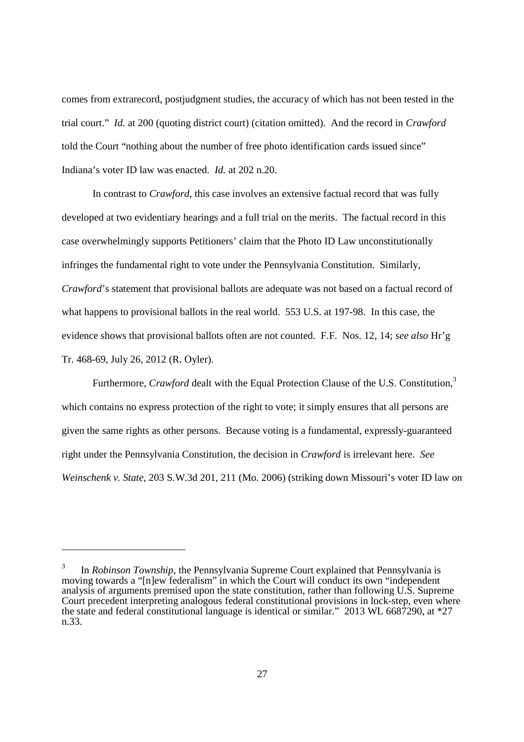comes from extrarecord, postjudgment studies, the accuracy of which has not been tested in the trial court." *Id.* at 200 (quoting district court) (citation omitted). And the record in *Crawford* told the Court "nothing about the number of free photo identification cards issued since" Indiana's voter ID law was enacted. *Id.* at 202 n.20.

In contrast to *Crawford*, this case involves an extensive factual record that was fully developed at two evidentiary hearings and a full trial on the merits. The factual record in this case overwhelmingly supports Petitioners' claim that the Photo ID Law unconstitutionally infringes the fundamental right to vote under the Pennsylvania Constitution. Similarly, *Crawford*'s statement that provisional ballots are adequate was not based on a factual record of what happens to provisional ballots in the real world. 553 U.S. at 197-98. In this case, the evidence shows that provisional ballots often are not counted. F.F. Nos. 12, 14; *see also* Hr'g Tr. 468-69, July 26, 2012 (R. Oyler).

Furthermore, *Crawford* dealt with the Equal Protection Clause of the U.S. Constitution,<sup>3</sup> which contains no express protection of the right to vote; it simply ensures that all persons are given the same rights as other persons. Because voting is a fundamental, expressly-guaranteed right under the Pennsylvania Constitution, the decision in *Crawford* is irrelevant here. *See Weinschenk v. State*, 203 S.W.3d 201, 211 (Mo. 2006) (striking down Missouri's voter ID law on

<sup>3</sup> In *Robinson Township*, the Pennsylvania Supreme Court explained that Pennsylvania is moving towards a "[n]ew federalism" in which the Court will conduct its own "independent analysis of arguments premised upon the state constitution, rather than following U.S. Supreme Court precedent interpreting analogous federal constitutional provisions in lock-step, even where the state and federal constitutional language is identical or similar." 2013 WL 6687290, at \*27 n.33.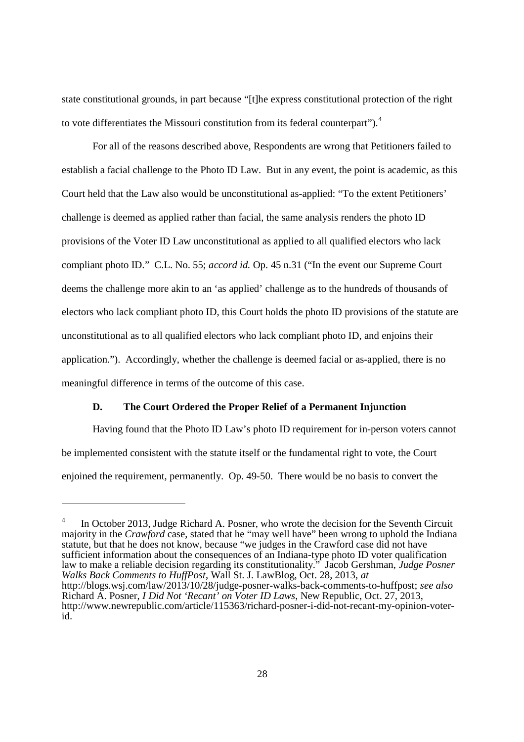state constitutional grounds, in part because "[t]he express constitutional protection of the right to vote differentiates the Missouri constitution from its federal counterpart").<sup>4</sup>

For all of the reasons described above, Respondents are wrong that Petitioners failed to establish a facial challenge to the Photo ID Law. But in any event, the point is academic, as this Court held that the Law also would be unconstitutional as-applied: "To the extent Petitioners' challenge is deemed as applied rather than facial, the same analysis renders the photo ID provisions of the Voter ID Law unconstitutional as applied to all qualified electors who lack compliant photo ID." C.L. No. 55; *accord id.* Op. 45 n.31 ("In the event our Supreme Court deems the challenge more akin to an 'as applied' challenge as to the hundreds of thousands of electors who lack compliant photo ID, this Court holds the photo ID provisions of the statute are unconstitutional as to all qualified electors who lack compliant photo ID, and enjoins their application."). Accordingly, whether the challenge is deemed facial or as-applied, there is no meaningful difference in terms of the outcome of this case.

### **D. The Court Ordered the Proper Relief of a Permanent Injunction**

Having found that the Photo ID Law's photo ID requirement for in-person voters cannot be implemented consistent with the statute itself or the fundamental right to vote, the Court enjoined the requirement, permanently. Op. 49-50. There would be no basis to convert the

<sup>4</sup> In October 2013, Judge Richard A. Posner, who wrote the decision for the Seventh Circuit majority in the *Crawford* case, stated that he "may well have" been wrong to uphold the Indiana statute, but that he does not know, because "we judges in the Crawford case did not have sufficient information about the consequences of an Indiana-type photo ID voter qualification law to make a reliable decision regarding its constitutionality." Jacob Gershman, *Judge Posner Walks Back Comments to HuffPost*, Wall St. J. LawBlog, Oct. 28, 2013, *at* http://blogs.wsj.com/law/2013/10/28/judge-posner-walks-back-comments-to-huffpost; *see also* Richard A. Posner, *I Did Not 'Recant' on Voter ID Laws*, New Republic, Oct. 27, 2013, http://www.newrepublic.com/article/115363/richard-posner-i-did-not-recant-my-opinion-voterid.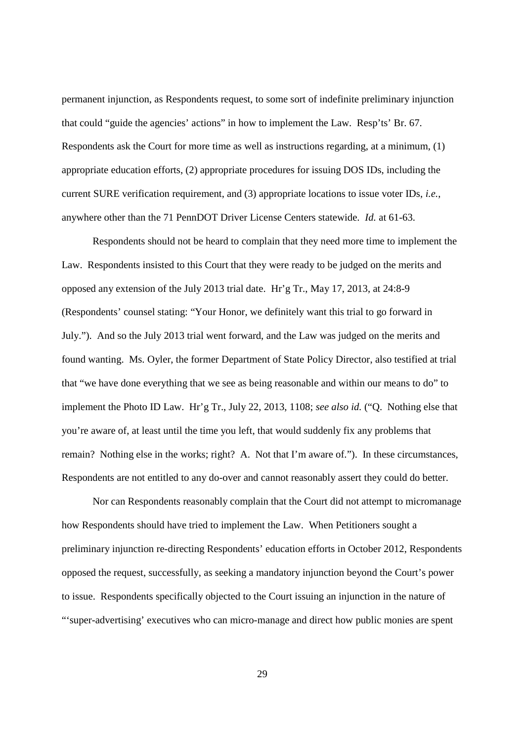permanent injunction, as Respondents request, to some sort of indefinite preliminary injunction that could "guide the agencies' actions" in how to implement the Law. Resp'ts' Br. 67. Respondents ask the Court for more time as well as instructions regarding, at a minimum, (1) appropriate education efforts, (2) appropriate procedures for issuing DOS IDs, including the current SURE verification requirement, and (3) appropriate locations to issue voter IDs, *i.e.*, anywhere other than the 71 PennDOT Driver License Centers statewide. *Id.* at 61-63.

Respondents should not be heard to complain that they need more time to implement the Law. Respondents insisted to this Court that they were ready to be judged on the merits and opposed any extension of the July 2013 trial date. Hr'g Tr., May 17, 2013, at 24:8-9 (Respondents' counsel stating: "Your Honor, we definitely want this trial to go forward in July."). And so the July 2013 trial went forward, and the Law was judged on the merits and found wanting. Ms. Oyler, the former Department of State Policy Director, also testified at trial that "we have done everything that we see as being reasonable and within our means to do" to implement the Photo ID Law. Hr'g Tr., July 22, 2013, 1108; *see also id.* ("Q. Nothing else that you're aware of, at least until the time you left, that would suddenly fix any problems that remain? Nothing else in the works; right? A. Not that I'm aware of."). In these circumstances, Respondents are not entitled to any do-over and cannot reasonably assert they could do better.

Nor can Respondents reasonably complain that the Court did not attempt to micromanage how Respondents should have tried to implement the Law. When Petitioners sought a preliminary injunction re-directing Respondents' education efforts in October 2012, Respondents opposed the request, successfully, as seeking a mandatory injunction beyond the Court's power to issue. Respondents specifically objected to the Court issuing an injunction in the nature of "'super-advertising' executives who can micro-manage and direct how public monies are spent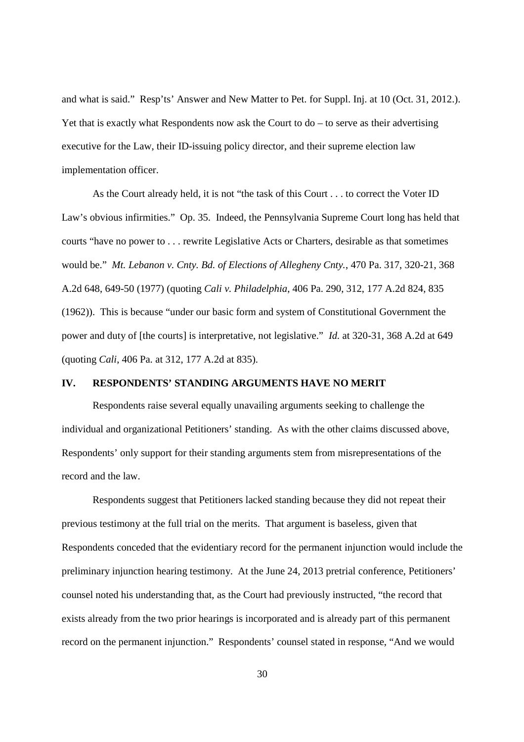and what is said." Resp'ts' Answer and New Matter to Pet. for Suppl. Inj. at 10 (Oct. 31, 2012.). Yet that is exactly what Respondents now ask the Court to  $do - to$  serve as their advertising executive for the Law, their ID-issuing policy director, and their supreme election law implementation officer.

As the Court already held, it is not "the task of this Court . . . to correct the Voter ID Law's obvious infirmities." Op. 35. Indeed, the Pennsylvania Supreme Court long has held that courts "have no power to . . . rewrite Legislative Acts or Charters, desirable as that sometimes would be." *Mt. Lebanon v. Cnty. Bd. of Elections of Allegheny Cnty.*, 470 Pa. 317, 320-21, 368 A.2d 648, 649-50 (1977) (quoting *Cali v. Philadelphia*, 406 Pa. 290, 312, 177 A.2d 824, 835 (1962)). This is because "under our basic form and system of Constitutional Government the power and duty of [the courts] is interpretative, not legislative." *Id.* at 320-31, 368 A.2d at 649 (quoting *Cali*, 406 Pa. at 312, 177 A.2d at 835).

# **IV. RESPONDENTS' STANDING ARGUMENTS HAVE NO MERIT**

Respondents raise several equally unavailing arguments seeking to challenge the individual and organizational Petitioners' standing. As with the other claims discussed above, Respondents' only support for their standing arguments stem from misrepresentations of the record and the law.

Respondents suggest that Petitioners lacked standing because they did not repeat their previous testimony at the full trial on the merits. That argument is baseless, given that Respondents conceded that the evidentiary record for the permanent injunction would include the preliminary injunction hearing testimony. At the June 24, 2013 pretrial conference, Petitioners' counsel noted his understanding that, as the Court had previously instructed, "the record that exists already from the two prior hearings is incorporated and is already part of this permanent record on the permanent injunction." Respondents' counsel stated in response, "And we would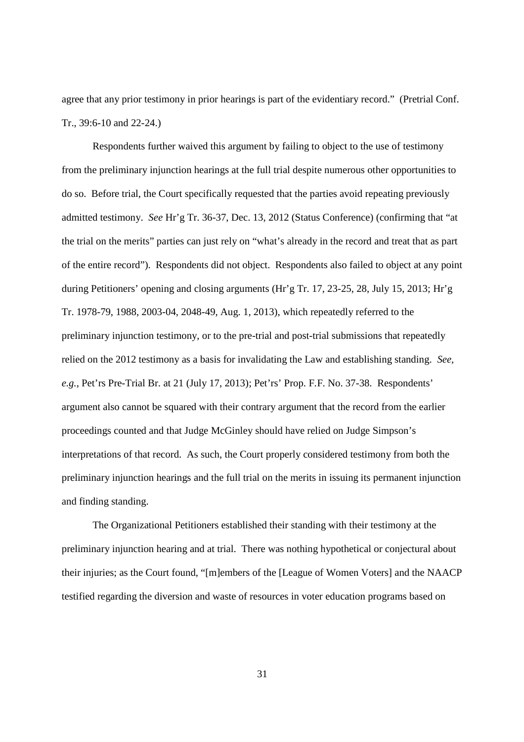agree that any prior testimony in prior hearings is part of the evidentiary record." (Pretrial Conf. Tr., 39:6-10 and 22-24.)

Respondents further waived this argument by failing to object to the use of testimony from the preliminary injunction hearings at the full trial despite numerous other opportunities to do so. Before trial, the Court specifically requested that the parties avoid repeating previously admitted testimony. *See* Hr'g Tr. 36-37, Dec. 13, 2012 (Status Conference) (confirming that "at the trial on the merits" parties can just rely on "what's already in the record and treat that as part of the entire record"). Respondents did not object. Respondents also failed to object at any point during Petitioners' opening and closing arguments (Hr'g Tr. 17, 23-25, 28, July 15, 2013; Hr'g Tr. 1978-79, 1988, 2003-04, 2048-49, Aug. 1, 2013), which repeatedly referred to the preliminary injunction testimony, or to the pre-trial and post-trial submissions that repeatedly relied on the 2012 testimony as a basis for invalidating the Law and establishing standing. *See, e.g.*, Pet'rs Pre-Trial Br. at 21 (July 17, 2013); Pet'rs' Prop. F.F. No. 37-38. Respondents' argument also cannot be squared with their contrary argument that the record from the earlier proceedings counted and that Judge McGinley should have relied on Judge Simpson's interpretations of that record. As such, the Court properly considered testimony from both the preliminary injunction hearings and the full trial on the merits in issuing its permanent injunction and finding standing.

The Organizational Petitioners established their standing with their testimony at the preliminary injunction hearing and at trial. There was nothing hypothetical or conjectural about their injuries; as the Court found, "[m]embers of the [League of Women Voters] and the NAACP testified regarding the diversion and waste of resources in voter education programs based on

31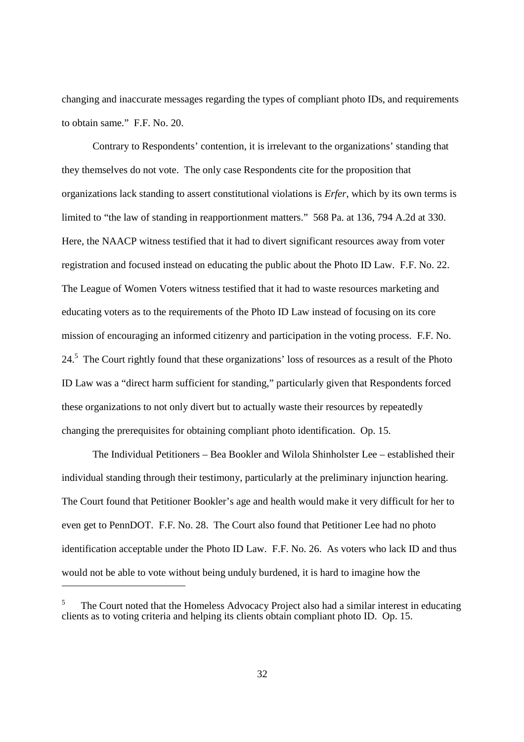changing and inaccurate messages regarding the types of compliant photo IDs, and requirements to obtain same." F.F. No. 20.

Contrary to Respondents' contention, it is irrelevant to the organizations' standing that they themselves do not vote. The only case Respondents cite for the proposition that organizations lack standing to assert constitutional violations is *Erfer*, which by its own terms is limited to "the law of standing in reapportionment matters." 568 Pa. at 136, 794 A.2d at 330. Here, the NAACP witness testified that it had to divert significant resources away from voter registration and focused instead on educating the public about the Photo ID Law. F.F. No. 22. The League of Women Voters witness testified that it had to waste resources marketing and educating voters as to the requirements of the Photo ID Law instead of focusing on its core mission of encouraging an informed citizenry and participation in the voting process. F.F. No. 24.<sup>5</sup> The Court rightly found that these organizations' loss of resources as a result of the Photo ID Law was a "direct harm sufficient for standing," particularly given that Respondents forced these organizations to not only divert but to actually waste their resources by repeatedly changing the prerequisites for obtaining compliant photo identification. Op. 15.

The Individual Petitioners – Bea Bookler and Wilola Shinholster Lee – established their individual standing through their testimony, particularly at the preliminary injunction hearing. The Court found that Petitioner Bookler's age and health would make it very difficult for her to even get to PennDOT. F.F. No. 28. The Court also found that Petitioner Lee had no photo identification acceptable under the Photo ID Law. F.F. No. 26. As voters who lack ID and thus would not be able to vote without being unduly burdened, it is hard to imagine how the

 $5$  The Court noted that the Homeless Advocacy Project also had a similar interest in educating clients as to voting criteria and helping its clients obtain compliant photo ID. Op. 15.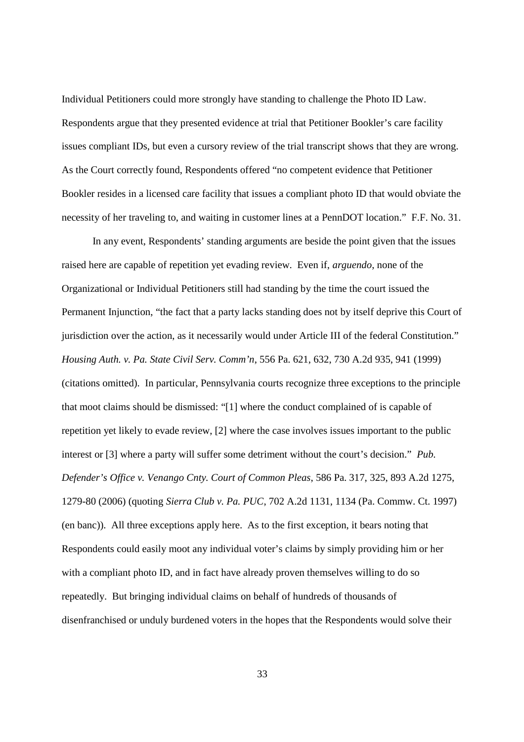Individual Petitioners could more strongly have standing to challenge the Photo ID Law. Respondents argue that they presented evidence at trial that Petitioner Bookler's care facility issues compliant IDs, but even a cursory review of the trial transcript shows that they are wrong. As the Court correctly found, Respondents offered "no competent evidence that Petitioner Bookler resides in a licensed care facility that issues a compliant photo ID that would obviate the necessity of her traveling to, and waiting in customer lines at a PennDOT location." F.F. No. 31.

In any event, Respondents' standing arguments are beside the point given that the issues raised here are capable of repetition yet evading review. Even if, *arguendo*, none of the Organizational or Individual Petitioners still had standing by the time the court issued the Permanent Injunction, "the fact that a party lacks standing does not by itself deprive this Court of jurisdiction over the action, as it necessarily would under Article III of the federal Constitution." *Housing Auth. v. Pa. State Civil Serv. Comm'n*, 556 Pa. 621, 632, 730 A.2d 935, 941 (1999) (citations omitted). In particular, Pennsylvania courts recognize three exceptions to the principle that moot claims should be dismissed: "[1] where the conduct complained of is capable of repetition yet likely to evade review, [2] where the case involves issues important to the public interest or [3] where a party will suffer some detriment without the court's decision." *Pub. Defender's Office v. Venango Cnty. Court of Common Pleas*, 586 Pa. 317, 325, 893 A.2d 1275, 1279-80 (2006) (quoting *Sierra Club v. Pa. PUC*, 702 A.2d 1131, 1134 (Pa. Commw. Ct. 1997) (en banc)). All three exceptions apply here. As to the first exception, it bears noting that Respondents could easily moot any individual voter's claims by simply providing him or her with a compliant photo ID, and in fact have already proven themselves willing to do so repeatedly. But bringing individual claims on behalf of hundreds of thousands of disenfranchised or unduly burdened voters in the hopes that the Respondents would solve their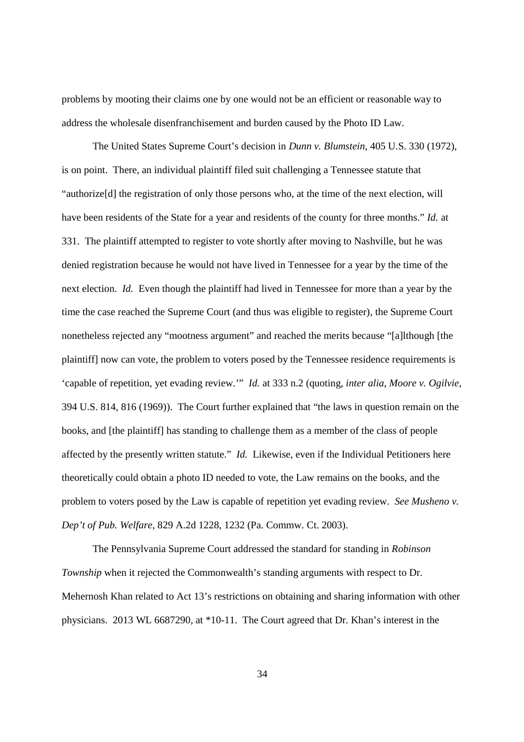problems by mooting their claims one by one would not be an efficient or reasonable way to address the wholesale disenfranchisement and burden caused by the Photo ID Law.

The United States Supreme Court's decision in *Dunn v. Blumstein*, 405 U.S. 330 (1972), is on point. There, an individual plaintiff filed suit challenging a Tennessee statute that "authorize[d] the registration of only those persons who, at the time of the next election, will have been residents of the State for a year and residents of the county for three months." *Id.* at 331. The plaintiff attempted to register to vote shortly after moving to Nashville, but he was denied registration because he would not have lived in Tennessee for a year by the time of the next election. *Id.* Even though the plaintiff had lived in Tennessee for more than a year by the time the case reached the Supreme Court (and thus was eligible to register), the Supreme Court nonetheless rejected any "mootness argument" and reached the merits because "[a]lthough [the plaintiff] now can vote, the problem to voters posed by the Tennessee residence requirements is 'capable of repetition, yet evading review.'" *Id.* at 333 n.2 (quoting, *inter alia*, *Moore v. Ogilvie*, 394 U.S. 814, 816 (1969)). The Court further explained that "the laws in question remain on the books, and [the plaintiff] has standing to challenge them as a member of the class of people affected by the presently written statute." *Id.* Likewise, even if the Individual Petitioners here theoretically could obtain a photo ID needed to vote, the Law remains on the books, and the problem to voters posed by the Law is capable of repetition yet evading review. *See Musheno v. Dep't of Pub. Welfare*, 829 A.2d 1228, 1232 (Pa. Commw. Ct. 2003).

The Pennsylvania Supreme Court addressed the standard for standing in *Robinson Township* when it rejected the Commonwealth's standing arguments with respect to Dr. Mehernosh Khan related to Act 13's restrictions on obtaining and sharing information with other physicians. 2013 WL 6687290, at \*10-11. The Court agreed that Dr. Khan's interest in the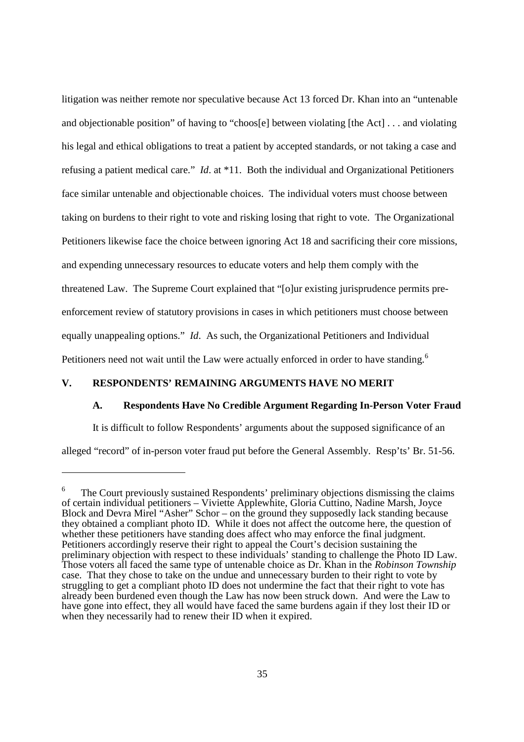litigation was neither remote nor speculative because Act 13 forced Dr. Khan into an "untenable and objectionable position" of having to "choos[e] between violating [the Act] . . . and violating his legal and ethical obligations to treat a patient by accepted standards, or not taking a case and refusing a patient medical care." *Id*. at \*11. Both the individual and Organizational Petitioners face similar untenable and objectionable choices. The individual voters must choose between taking on burdens to their right to vote and risking losing that right to vote. The Organizational Petitioners likewise face the choice between ignoring Act 18 and sacrificing their core missions, and expending unnecessary resources to educate voters and help them comply with the threatened Law. The Supreme Court explained that "[o]ur existing jurisprudence permits preenforcement review of statutory provisions in cases in which petitioners must choose between equally unappealing options." *Id*. As such, the Organizational Petitioners and Individual Petitioners need not wait until the Law were actually enforced in order to have standing.<sup>6</sup>

### **V. RESPONDENTS' REMAINING ARGUMENTS HAVE NO MERIT**

#### **A. Respondents Have No Credible Argument Regarding In-Person Voter Fraud**

It is difficult to follow Respondents' arguments about the supposed significance of an

alleged "record" of in-person voter fraud put before the General Assembly. Resp'ts' Br. 51-56.

<sup>6</sup> The Court previously sustained Respondents' preliminary objections dismissing the claims of certain individual petitioners – Viviette Applewhite, Gloria Cuttino, Nadine Marsh, Joyce Block and Devra Mirel "Asher" Schor – on the ground they supposedly lack standing because they obtained a compliant photo ID. While it does not affect the outcome here, the question of whether these petitioners have standing does affect who may enforce the final judgment. Petitioners accordingly reserve their right to appeal the Court's decision sustaining the preliminary objection with respect to these individuals' standing to challenge the Photo ID Law. Those voters all faced the same type of untenable choice as Dr. Khan in the *Robinson Township* case. That they chose to take on the undue and unnecessary burden to their right to vote by struggling to get a compliant photo ID does not undermine the fact that their right to vote has already been burdened even though the Law has now been struck down. And were the Law to have gone into effect, they all would have faced the same burdens again if they lost their ID or when they necessarily had to renew their ID when it expired.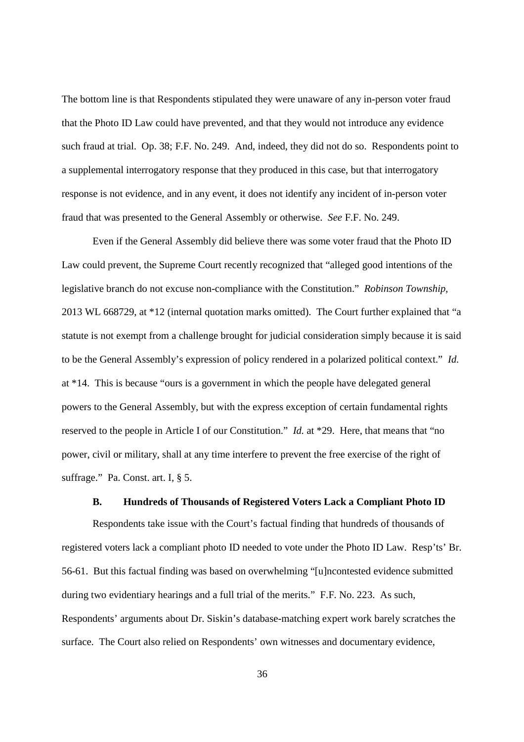The bottom line is that Respondents stipulated they were unaware of any in-person voter fraud that the Photo ID Law could have prevented, and that they would not introduce any evidence such fraud at trial. Op. 38; F.F. No. 249. And, indeed, they did not do so. Respondents point to a supplemental interrogatory response that they produced in this case, but that interrogatory response is not evidence, and in any event, it does not identify any incident of in-person voter fraud that was presented to the General Assembly or otherwise. *See* F.F. No. 249.

Even if the General Assembly did believe there was some voter fraud that the Photo ID Law could prevent, the Supreme Court recently recognized that "alleged good intentions of the legislative branch do not excuse non-compliance with the Constitution." *Robinson Township*, 2013 WL 668729, at \*12 (internal quotation marks omitted). The Court further explained that "a statute is not exempt from a challenge brought for judicial consideration simply because it is said to be the General Assembly's expression of policy rendered in a polarized political context." *Id.* at \*14. This is because "ours is a government in which the people have delegated general powers to the General Assembly, but with the express exception of certain fundamental rights reserved to the people in Article I of our Constitution." *Id.* at \*29. Here, that means that "no power, civil or military, shall at any time interfere to prevent the free exercise of the right of suffrage." Pa. Const. art. I, § 5.

#### **B. Hundreds of Thousands of Registered Voters Lack a Compliant Photo ID**

Respondents take issue with the Court's factual finding that hundreds of thousands of registered voters lack a compliant photo ID needed to vote under the Photo ID Law. Resp'ts' Br. 56-61. But this factual finding was based on overwhelming "[u]ncontested evidence submitted during two evidentiary hearings and a full trial of the merits." F.F. No. 223. As such, Respondents' arguments about Dr. Siskin's database-matching expert work barely scratches the surface. The Court also relied on Respondents' own witnesses and documentary evidence,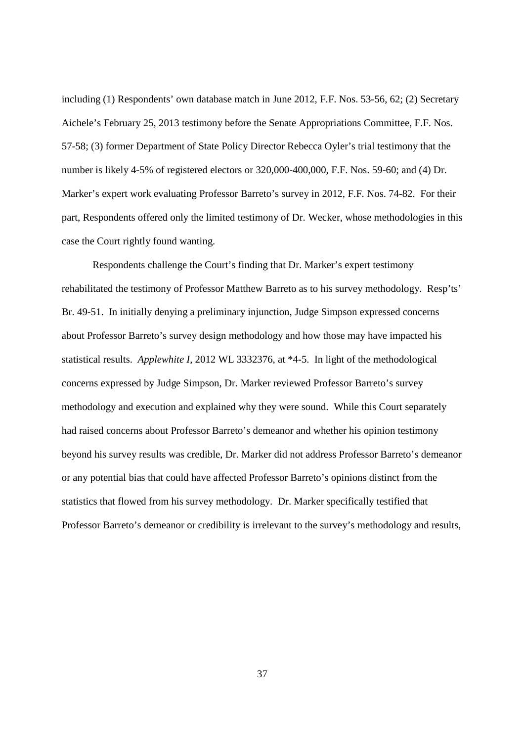including (1) Respondents' own database match in June 2012, F.F. Nos. 53-56, 62; (2) Secretary Aichele's February 25, 2013 testimony before the Senate Appropriations Committee, F.F. Nos. 57-58; (3) former Department of State Policy Director Rebecca Oyler's trial testimony that the number is likely 4-5% of registered electors or 320,000-400,000, F.F. Nos. 59-60; and (4) Dr. Marker's expert work evaluating Professor Barreto's survey in 2012, F.F. Nos. 74-82. For their part, Respondents offered only the limited testimony of Dr. Wecker, whose methodologies in this case the Court rightly found wanting.

Respondents challenge the Court's finding that Dr. Marker's expert testimony rehabilitated the testimony of Professor Matthew Barreto as to his survey methodology. Resp'ts' Br. 49-51. In initially denying a preliminary injunction, Judge Simpson expressed concerns about Professor Barreto's survey design methodology and how those may have impacted his statistical results. *Applewhite I*, 2012 WL 3332376, at \*4-5. In light of the methodological concerns expressed by Judge Simpson, Dr. Marker reviewed Professor Barreto's survey methodology and execution and explained why they were sound. While this Court separately had raised concerns about Professor Barreto's demeanor and whether his opinion testimony beyond his survey results was credible, Dr. Marker did not address Professor Barreto's demeanor or any potential bias that could have affected Professor Barreto's opinions distinct from the statistics that flowed from his survey methodology. Dr. Marker specifically testified that Professor Barreto's demeanor or credibility is irrelevant to the survey's methodology and results,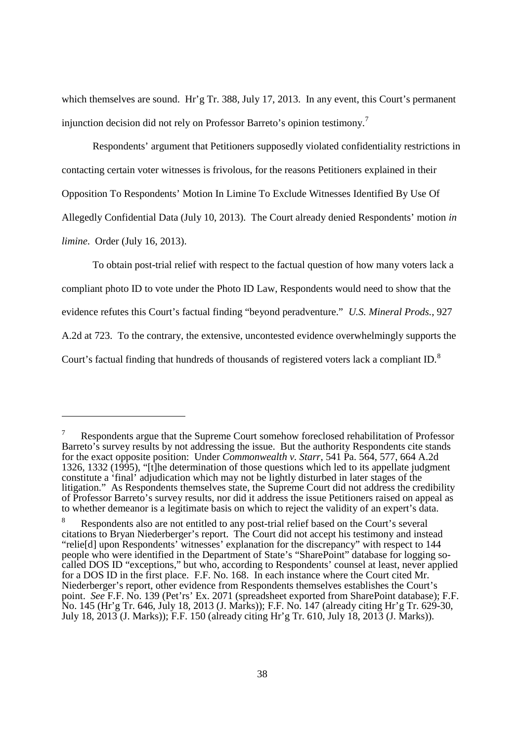which themselves are sound. Hr'g Tr. 388, July 17, 2013. In any event, this Court's permanent injunction decision did not rely on Professor Barreto's opinion testimony.<sup>7</sup>

Respondents' argument that Petitioners supposedly violated confidentiality restrictions in contacting certain voter witnesses is frivolous, for the reasons Petitioners explained in their Opposition To Respondents' Motion In Limine To Exclude Witnesses Identified By Use Of Allegedly Confidential Data (July 10, 2013). The Court already denied Respondents' motion *in limine*. Order (July 16, 2013).

To obtain post-trial relief with respect to the factual question of how many voters lack a compliant photo ID to vote under the Photo ID Law, Respondents would need to show that the evidence refutes this Court's factual finding "beyond peradventure." *U.S. Mineral Prods.*, 927 A.2d at 723. To the contrary, the extensive, uncontested evidence overwhelmingly supports the Court's factual finding that hundreds of thousands of registered voters lack a compliant ID.<sup>8</sup>

<sup>7</sup> Respondents argue that the Supreme Court somehow foreclosed rehabilitation of Professor Barreto's survey results by not addressing the issue. But the authority Respondents cite stands for the exact opposite position: Under *Commonwealth v. Starr*, 541 Pa. 564, 577, 664 A.2d 1326, 1332 (1995), "[t]he determination of those questions which led to its appellate judgment constitute a 'final' adjudication which may not be lightly disturbed in later stages of the litigation." As Respondents themselves state, the Supreme Court did not address the credibility of Professor Barreto's survey results, nor did it address the issue Petitioners raised on appeal as to whether demeanor is a legitimate basis on which to reject the validity of an expert's data.

<sup>&</sup>lt;sup>8</sup> Respondents also are not entitled to any post-trial relief based on the Court's several citations to Bryan Niederberger's report. The Court did not accept his testimony and instead "relie[d] upon Respondents' witnesses' explanation for the discrepancy" with respect to 144 people who were identified in the Department of State's "SharePoint" database for logging socalled DOS ID "exceptions," but who, according to Respondents' counsel at least, never applied for a DOS ID in the first place. F.F. No. 168. In each instance where the Court cited Mr. Niederberger's report, other evidence from Respondents themselves establishes the Court's point. *See* F.F. No. 139 (Pet'rs' Ex. 2071 (spreadsheet exported from SharePoint database); F.F. No. 145 (Hr'g Tr. 646, July 18, 2013 (J. Marks)); F.F. No. 147 (already citing Hr'g Tr. 629-30, July 18, 2013 (J. Marks)); F.F. 150 (already citing Hr'g Tr. 610, July 18, 2013 (J. Marks)).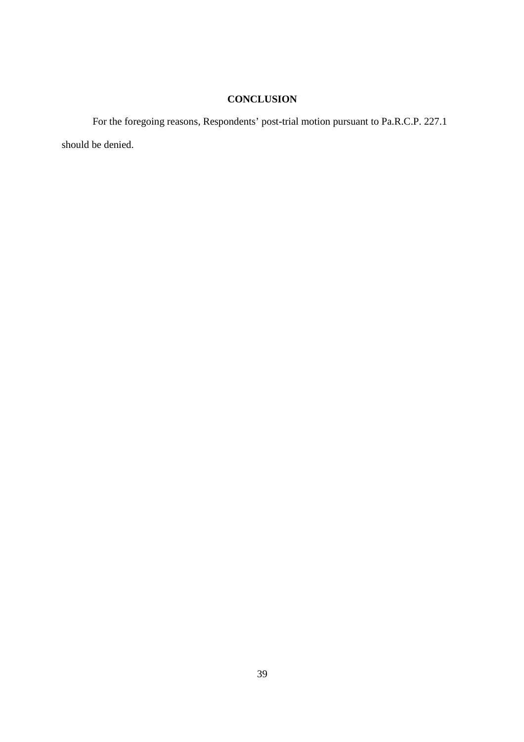# **CONCLUSION**

For the foregoing reasons, Respondents' post-trial motion pursuant to Pa.R.C.P. 227.1 should be denied.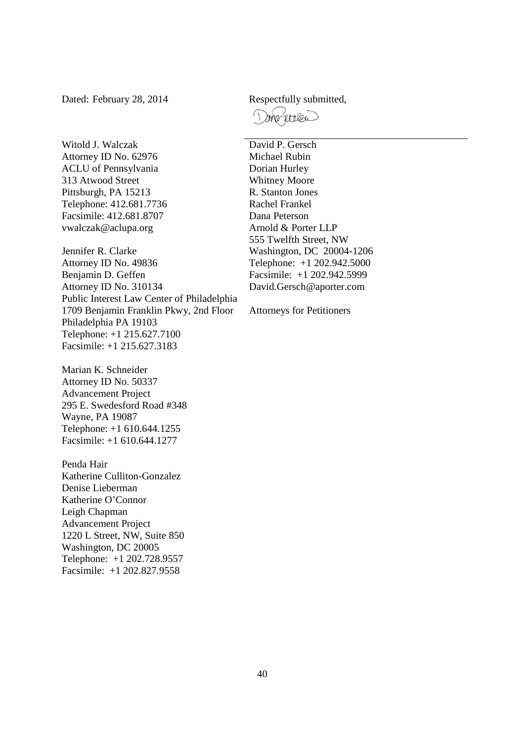Dated: February 28, 2014 Respectfully submitted,

Witold J. Walczak Attorney ID No. 62976 ACLU of Pennsylvania 313 Atwood Street Pittsburgh, PA 15213 Telephone: 412.681.7736 Facsimile: 412.681.8707 vwalczak@aclupa.org

Jennifer R. Clarke Attorney ID No. 49836 Benjamin D. Geffen Attorney ID No. 310134 Public Interest Law Center of Philadelphia 1709 Benjamin Franklin Pkwy, 2nd Floor Philadelphia PA 19103 Telephone: +1 215.627.7100 Facsimile: +1 215.627.3183

Marian K. Schneider Attorney ID No. 50337 Advancement Project 295 E. Swedesford Road #348 Wayne, PA 19087 Telephone: +1 610.644.1255 Facsimile: +1 610.644.1277

Penda Hair Katherine Culliton-Gonzalez Denise Lieberman Katherine O'Connor Leigh Chapman Advancement Project 1220 L Street, NW, Suite 850 Washington, DC 20005 Telephone: +1 202.728.9557 Facsimile: +1 202.827.9558

morriso

David P. Gersch Michael Rubin Dorian Hurley Whitney Moore R. Stanton Jones Rachel Frankel Dana Peterson Arnold & Porter LLP 555 Twelfth Street, NW Washington, DC 20004-1206 Telephone: +1 202.942.5000 Facsimile: +1 202.942.5999 David.Gersch@aporter.com

Attorneys for Petitioners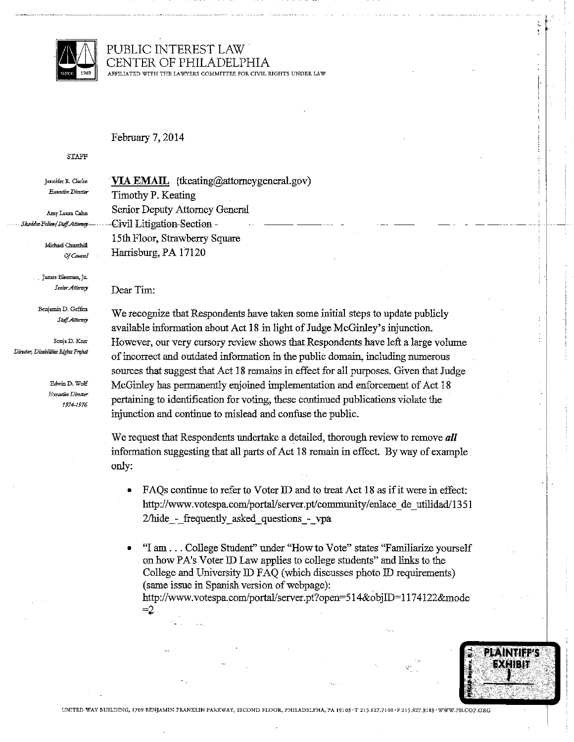

#### PUBLIC INTEREST LAW CENTER OF PHILADELPHIA APFILIATED WITH THE LAWYERS COMMITTEE FOR CIVIL RIGHTS UNDER LAW

#### February 7, 2014

#### **STAFF**

Jennifer R. Clarke Executive Director

Amy Laura Cahn .<br>Skadden-Fellow/Staff Attorney

Michael Churchill

James Eiseman, Jr. Senior Attorney

Of Counsel

Benjamin D. Geffen Staff Attorney

Sonja D. Kerr Director, Disabilities Rights Project

> Edwin D. Wolf Executive Director 1974-1976

VIA EMAIL (tkeating@attorneygeneral.gov) Timothy P. Keating Senior Deputy Attorney General Civil Litigation-Section -15th Floor, Strawberry Square Harrisburg, PA 17120

#### Dear Tim:

We recognize that Respondents have taken some initial steps to update publicly available information about Act 18 in light of Judge McGinley's injunction. However, our very cursory review shows that Respondents have left a large volume of incorrect and outdated information in the public domain, including numerous sources that suggest that Act 18 remains in effect for all purposes. Given that Judge McGinley has permanently enjoined implementation and enforcement of Act 18 pertaining to identification for voting, these continued publications violate the injunction and continue to mislead and confuse the public.

÷

**PLAINTIFF'S** EXHIBIT

We request that Respondents undertake a detailed, thorough review to remove all information suggesting that all parts of Act 18 remain in effect. By way of example only:

FAQs continue to refer to Voter ID and to treat Act 18 as if it were in effect: http://www.votespa.com/portal/server.pt/community/enlace de utilidad/1351 2/hide - frequently asked questions - vpa

"I am . . . College Student" under "How to Vote" states "Familiarize vourself on how PA's Voter ID Law applies to college students" and links to the College and University ID FAQ (which discusses photo ID requirements) (same issue in Spanish version of webpage): http://www.votespa.com/portal/server.pt?open=514&objID=1174122&mode  $=2$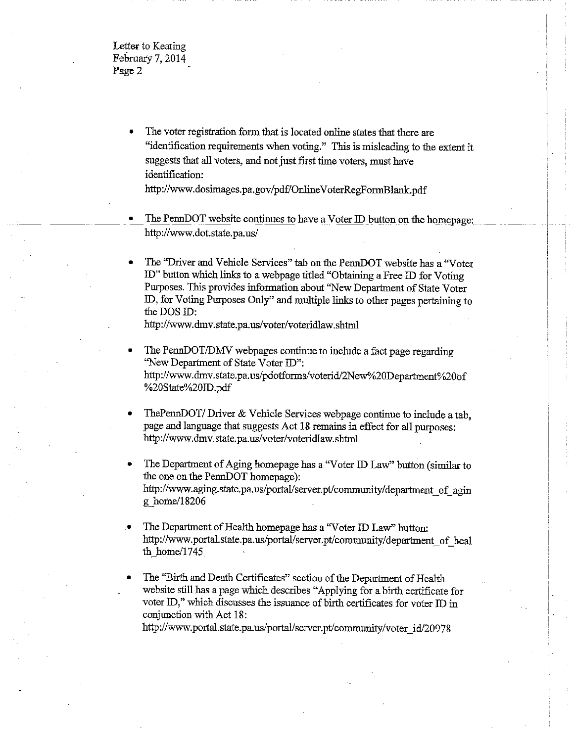Letter to Keating February 7, 2014 Page 2

> The voter registration form that is located online states that there are "identification requirements when voting." This is misleading to the extent it suggests that all voters, and not just first time voters, must have identification:

http://www.dosimages.pa.gov/pdf/OnlineVoterRegFormBlank.pdf

The PennDOT website continues to have a Voter ID button on the homepage: http://www.dot.state.pa.us/

The "Driver and Vehicle Services" tab on the PennDOT website has a "Voter ID" button which links to a webpage titled "Obtaining a Free ID for Voting Purposes. This provides information about "New Department of State Voter ID, for Voting Purposes Only" and multiple links to other pages pertaining to the DOS ID:

http://www.dmv.state.pa.us/voter/voteridlaw.shtml

- The PennDOT/DMV webpages continue to include a fact page regarding "New Department of State Voter ID": http://www.dmv.state.pa.us/pdotforms/voterid/2New%20Department%20of %20State%20ID.pdf
- ThePennDOT/Driver & Vehicle Services webpage continue to include a tab, page and language that suggests Act 18 remains in effect for all purposes: http://www.dmv.state.pa.us/voter/voteridlaw.shtml
- The Department of Aging homepage has a "Voter ID Law" button (similar to the one on the PennDOT homepage): http://www.aging.state.pa.us/portal/server.pt/community/department of agin g home/18206
- The Department of Health homepage has a "Voter ID Law" button: http://www.portal.state.pa.us/portal/server.pt/community/department of heal th home/ $1745$
- The "Birth and Death Certificates" section of the Department of Health website still has a page which describes "Applying for a birth certificate for voter ID," which discusses the issuance of birth certificates for voter ID in conjunction with Act 18:

http://www.portal.state.pa.us/portal/server.pt/community/voter\_id/20978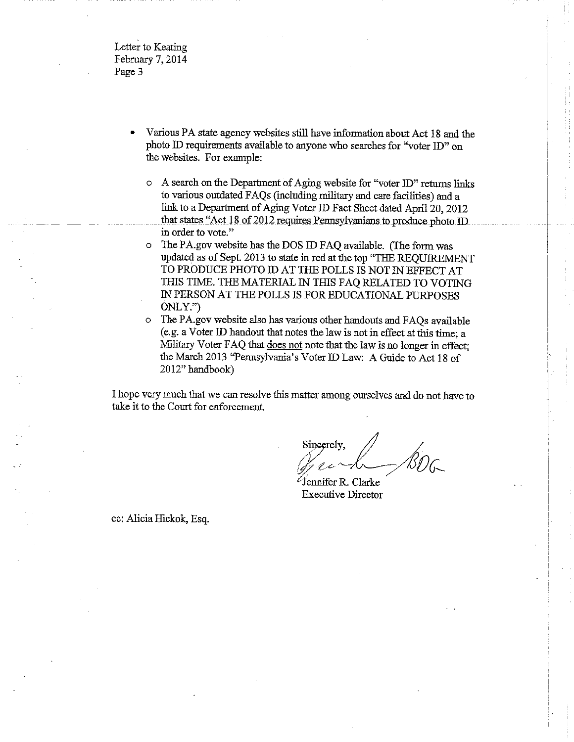Letter to Keating February 7, 2014 Page 3

- Various PA state agency websites still have information about Act 18 and the photo ID requirements available to anyone who searches for "voter ID" on the websites. For example:
	- o A search on the Department of Aging website for "voter ID" returns links to various outdated FAQs (including military and care facilities) and a link to a Department of Aging Voter ID Fact Sheet dated April 20, 2012 that states "Act 18 of 2012 requires Pennsylvanians to produce photo ID in order to vote."
	- The PA gov website has the DOS ID FAQ available. (The form was O. updated as of Sept. 2013 to state in red at the top "THE REQUIREMENT TO PRODUCE PHOTO ID AT THE POLLS IS NOT IN EFFECT AT THIS TIME. THE MATERIAL IN THIS FAQ RELATED TO VOTING IN PERSON AT THE POLLS IS FOR EDUCATIONAL PURPOSES ONLY.")
	- The PA gov website also has various other handouts and FAQs available (e.g. a Voter ID handout that notes the law is not in effect at this time; a Military Voter FAQ that does not note that the law is no longer in effect; the March 2013 "Pennsylvania's Voter ID Law: A Guide to Act 18 of 2012" handbook)

I hope very much that we can resolve this matter among ourselves and do not have to take it to the Court for enforcement.

Sincerely,

 $\mathscr{C}$ fennifer R. Clarke **Executive Director** 

cc: Alicia Hickok, Esq.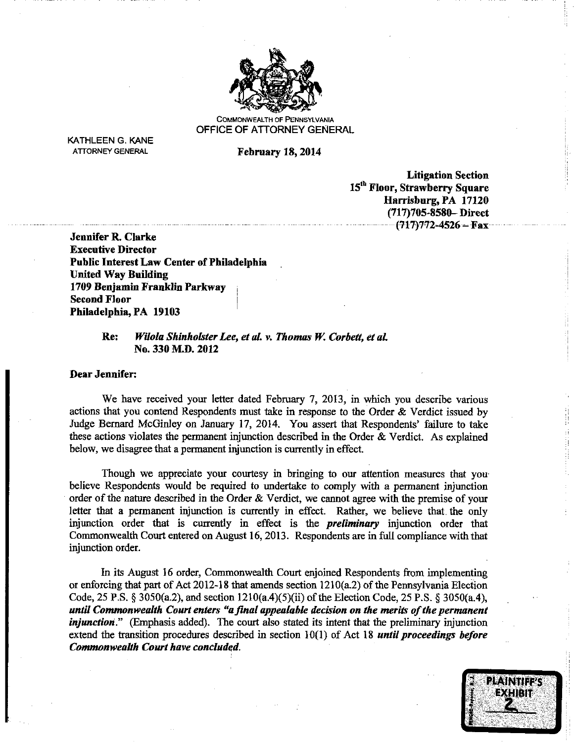

**COMMONWEALTH OF PENNSYLVANIA** OFFICE OF ATTORNEY GENERAL

**KATHLEEN G. KANE ATTORNEY GENERAL** 

**February 18, 2014** 

**Litigation Section** 15<sup>th</sup> Floor, Strawberry Square Harrisburg, PA 17120 (717)705-8580-Direct  $(717)772 - 4526 - Fax$ 

**Jennifer R. Clarke Executive Director Public Interest Law Center of Philadelphia United Way Building** 1709 Benjamin Franklin Parkway **Second Floor** Philadelphia, PA 19103

#### Wilola Shinholster Lee, et al. v. Thomas W. Corbett, et al. Re: No. 330 M.D. 2012

#### **Dear Jennifer:**

We have received your letter dated February 7, 2013, in which you describe various actions that you contend Respondents must take in response to the Order & Verdict issued by Judge Bernard McGinley on January 17, 2014. You assert that Respondents' failure to take these actions violates the permanent injunction described in the Order  $\&$  Verdict. As explained below, we disagree that a permanent injunction is currently in effect.

Though we appreciate your courtesy in bringing to our attention measures that you believe Respondents would be required to undertake to comply with a permanent injunction order of the nature described in the Order & Verdict, we cannot agree with the premise of your letter that a permanent injunction is currently in effect. Rather, we believe that the only injunction order that is currently in effect is the *preliminary* injunction order that Commonwealth Court entered on August 16, 2013. Respondents are in full compliance with that injunction order.

In its August 16 order, Commonwealth Court enjoined Respondents from implementing or enforcing that part of Act 2012-18 that amends section 1210(a.2) of the Pennsylvania Election Code, 25 P.S. § 3050(a.2), and section  $1210(a.4)(5)(ii)$  of the Election Code, 25 P.S. § 3050(a.4), until Commonwealth Court enters "a final appealable decision on the merits of the permanent *injunction*." (Emphasis added). The court also stated its intent that the preliminary injunction extend the transition procedures described in section  $10(1)$  of Act 18 *until proceedings before* **Commonwealth Court have concluded.** 



de la concentración de la concentración de la concentración de la concentración de la concentración de la concentración de la concentración de la concentración de la concentración de la concentración de la concentración de